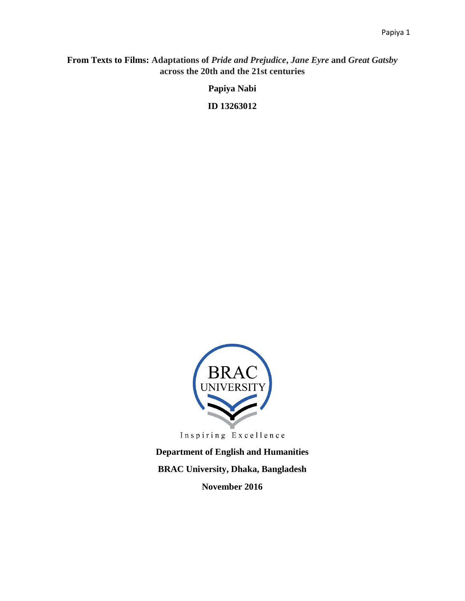## **From Texts to Films: Adaptations of** *Pride and Prejudice***,** *Jane Eyre* **and** *Great Gatsby* **across the 20th and the 21st centuries**

**Papiya Nabi** 

**ID 13263012** 



**Department of English and Humanities BRAC University, Dhaka, Bangladesh November 2016**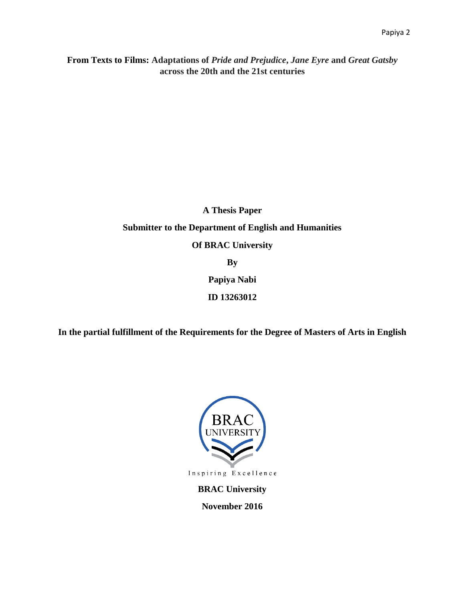**From Texts to Films: Adaptations of** *Pride and Prejudice***,** *Jane Eyre* **and** *Great Gatsby* **across the 20th and the 21st centuries**

# **A Thesis Paper Submitter to the Department of English and Humanities Of BRAC University By Papiya Nabi ID 13263012**

**In the partial fulfillment of the Requirements for the Degree of Masters of Arts in English** 



**November 2016**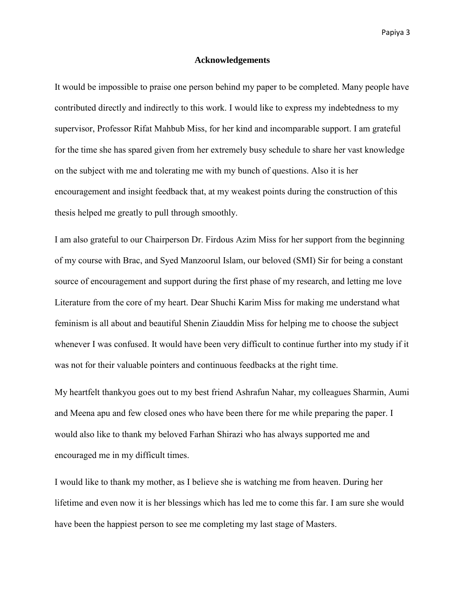#### **Acknowledgements**

It would be impossible to praise one person behind my paper to be completed. Many people have contributed directly and indirectly to this work. I would like to express my indebtedness to my supervisor, Professor Rifat Mahbub Miss, for her kind and incomparable support. I am grateful for the time she has spared given from her extremely busy schedule to share her vast knowledge on the subject with me and tolerating me with my bunch of questions. Also it is her encouragement and insight feedback that, at my weakest points during the construction of this thesis helped me greatly to pull through smoothly.

I am also grateful to our Chairperson Dr. Firdous Azim Miss for her support from the beginning of my course with Brac, and Syed Manzoorul Islam, our beloved (SMI) Sir for being a constant source of encouragement and support during the first phase of my research, and letting me love Literature from the core of my heart. Dear Shuchi Karim Miss for making me understand what feminism is all about and beautiful Shenin Ziauddin Miss for helping me to choose the subject whenever I was confused. It would have been very difficult to continue further into my study if it was not for their valuable pointers and continuous feedbacks at the right time.

My heartfelt thankyou goes out to my best friend Ashrafun Nahar, my colleagues Sharmin, Aumi and Meena apu and few closed ones who have been there for me while preparing the paper. I would also like to thank my beloved Farhan Shirazi who has always supported me and encouraged me in my difficult times.

I would like to thank my mother, as I believe she is watching me from heaven. During her lifetime and even now it is her blessings which has led me to come this far. I am sure she would have been the happiest person to see me completing my last stage of Masters.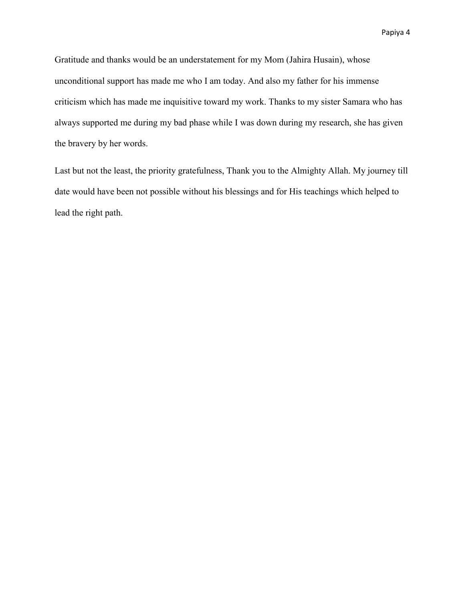Gratitude and thanks would be an understatement for my Mom (Jahira Husain), whose unconditional support has made me who I am today. And also my father for his immense criticism which has made me inquisitive toward my work. Thanks to my sister Samara who has always supported me during my bad phase while I was down during my research, she has given the bravery by her words.

Last but not the least, the priority gratefulness, Thank you to the Almighty Allah. My journey till date would have been not possible without his blessings and for His teachings which helped to lead the right path.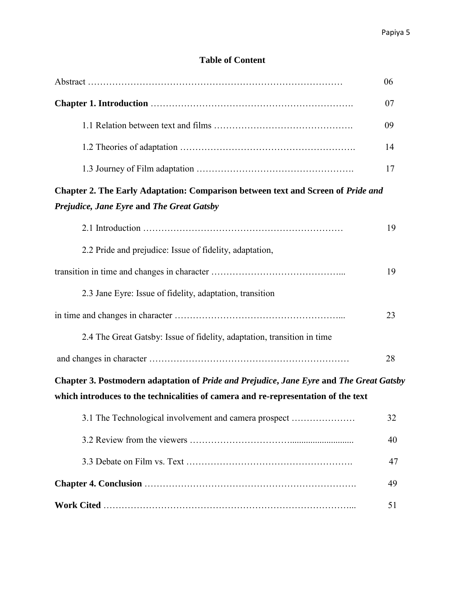## **Table of Content**

|                                                                                                                               | 06 |
|-------------------------------------------------------------------------------------------------------------------------------|----|
|                                                                                                                               | 07 |
|                                                                                                                               | 09 |
|                                                                                                                               | 14 |
|                                                                                                                               | 17 |
| Chapter 2. The Early Adaptation: Comparison between text and Screen of Pride and<br>Prejudice, Jane Eyre and The Great Gatsby |    |
|                                                                                                                               | 19 |
| 2.2 Pride and prejudice: Issue of fidelity, adaptation,                                                                       |    |
|                                                                                                                               | 19 |
| 2.3 Jane Eyre: Issue of fidelity, adaptation, transition                                                                      |    |
|                                                                                                                               | 23 |
| 2.4 The Great Gatsby: Issue of fidelity, adaptation, transition in time                                                       |    |
|                                                                                                                               | 28 |
| Chapter 3. Postmodern adaptation of Pride and Prejudice, Jane Eyre and The Great Gatsby                                       |    |
| which introduces to the technicalities of camera and re-representation of the text                                            |    |
| 3.1 The Technological involvement and camera prospect                                                                         | 32 |
|                                                                                                                               | 40 |
|                                                                                                                               | 47 |
|                                                                                                                               | 49 |
|                                                                                                                               | 51 |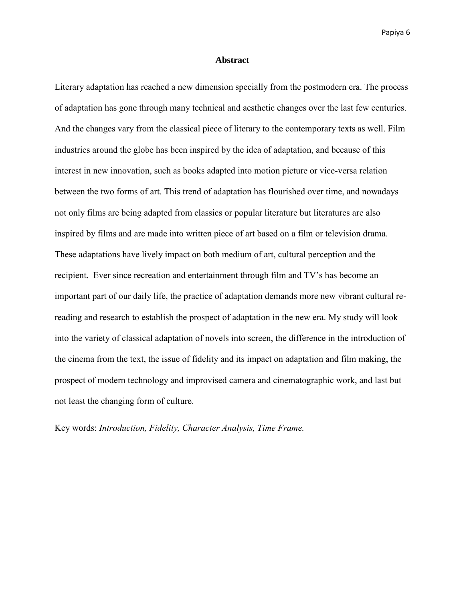#### **Abstract**

Literary adaptation has reached a new dimension specially from the postmodern era. The process of adaptation has gone through many technical and aesthetic changes over the last few centuries. And the changes vary from the classical piece of literary to the contemporary texts as well. Film industries around the globe has been inspired by the idea of adaptation, and because of this interest in new innovation, such as books adapted into motion picture or vice-versa relation between the two forms of art. This trend of adaptation has flourished over time, and nowadays not only films are being adapted from classics or popular literature but literatures are also inspired by films and are made into written piece of art based on a film or television drama. These adaptations have lively impact on both medium of art, cultural perception and the recipient. Ever since recreation and entertainment through film and TV's has become an important part of our daily life, the practice of adaptation demands more new vibrant cultural rereading and research to establish the prospect of adaptation in the new era. My study will look into the variety of classical adaptation of novels into screen, the difference in the introduction of the cinema from the text, the issue of fidelity and its impact on adaptation and film making, the prospect of modern technology and improvised camera and cinematographic work, and last but not least the changing form of culture.

Key words: *Introduction, Fidelity, Character Analysis, Time Frame.*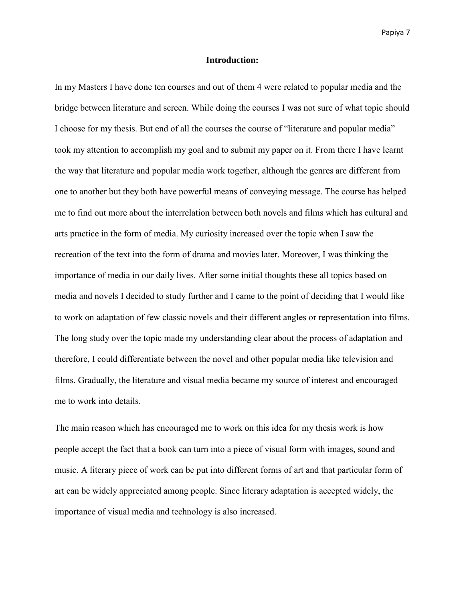#### **Introduction:**

In my Masters I have done ten courses and out of them 4 were related to popular media and the bridge between literature and screen. While doing the courses I was not sure of what topic should I choose for my thesis. But end of all the courses the course of "literature and popular media" took my attention to accomplish my goal and to submit my paper on it. From there I have learnt the way that literature and popular media work together, although the genres are different from one to another but they both have powerful means of conveying message. The course has helped me to find out more about the interrelation between both novels and films which has cultural and arts practice in the form of media. My curiosity increased over the topic when I saw the recreation of the text into the form of drama and movies later. Moreover, I was thinking the importance of media in our daily lives. After some initial thoughts these all topics based on media and novels I decided to study further and I came to the point of deciding that I would like to work on adaptation of few classic novels and their different angles or representation into films. The long study over the topic made my understanding clear about the process of adaptation and therefore, I could differentiate between the novel and other popular media like television and films. Gradually, the literature and visual media became my source of interest and encouraged me to work into details.

The main reason which has encouraged me to work on this idea for my thesis work is how people accept the fact that a book can turn into a piece of visual form with images, sound and music. A literary piece of work can be put into different forms of art and that particular form of art can be widely appreciated among people. Since literary adaptation is accepted widely, the importance of visual media and technology is also increased.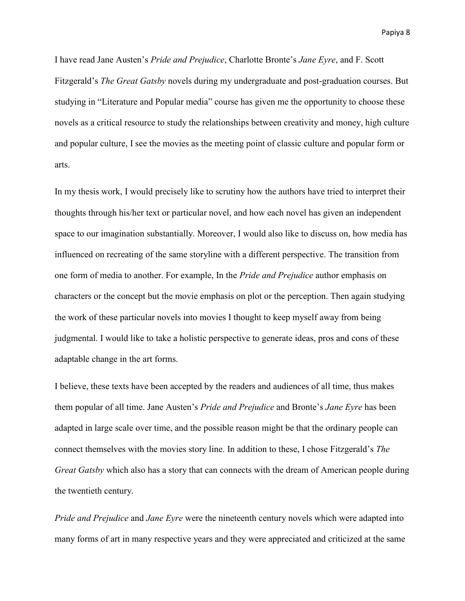I have read Jane Austen's *Pride and Prejudice*, Charlotte Bronte's *Jane Eyre*, and F. Scott Fitzgerald's *The Great Gatsby* novels during my undergraduate and post-graduation courses. But studying in "Literature and Popular media" course has given me the opportunity to choose these novels as a critical resource to study the relationships between creativity and money, high culture and popular culture, I see the movies as the meeting point of classic culture and popular form or arts.

In my thesis work, I would precisely like to scrutiny how the authors have tried to interpret their thoughts through his/her text or particular novel, and how each novel has given an independent space to our imagination substantially. Moreover, I would also like to discuss on, how media has influenced on recreating of the same storyline with a different perspective. The transition from one form of media to another. For example, In the *Pride and Prejudice* author emphasis on characters or the concept but the movie emphasis on plot or the perception. Then again studying the work of these particular novels into movies I thought to keep myself away from being judgmental. I would like to take a holistic perspective to generate ideas, pros and cons of these adaptable change in the art forms.

I believe, these texts have been accepted by the readers and audiences of all time, thus makes them popular of all time. Jane Austen's *Pride and Prejudice* and Bronte's *Jane Eyre* has been adapted in large scale over time, and the possible reason might be that the ordinary people can connect themselves with the movies story line. In addition to these, I chose Fitzgerald's *The Great Gatsby* which also has a story that can connects with the dream of American people during the twentieth century.

*Pride and Prejudice* and *Jane Eyre* were the nineteenth century novels which were adapted into many forms of art in many respective years and they were appreciated and criticized at the same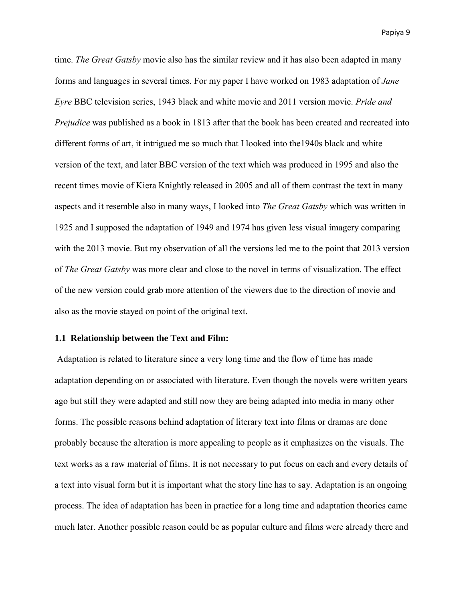time. *The Great Gatsby* movie also has the similar review and it has also been adapted in many forms and languages in several times. For my paper I have worked on 1983 adaptation of *Jane Eyre* BBC television series, 1943 black and white movie and 2011 version movie. *Pride and Prejudice* was published as a book in 1813 after that the book has been created and recreated into different forms of art, it intrigued me so much that I looked into the1940s black and white version of the text, and later BBC version of the text which was produced in 1995 and also the recent times movie of Kiera Knightly released in 2005 and all of them contrast the text in many aspects and it resemble also in many ways, I looked into *The Great Gatsby* which was written in 1925 and I supposed the adaptation of 1949 and 1974 has given less visual imagery comparing with the 2013 movie. But my observation of all the versions led me to the point that 2013 version of *The Great Gatsby* was more clear and close to the novel in terms of visualization. The effect of the new version could grab more attention of the viewers due to the direction of movie and also as the movie stayed on point of the original text.

#### **1.1 Relationship between the Text and Film:**

Adaptation is related to literature since a very long time and the flow of time has made adaptation depending on or associated with literature. Even though the novels were written years ago but still they were adapted and still now they are being adapted into media in many other forms. The possible reasons behind adaptation of literary text into films or dramas are done probably because the alteration is more appealing to people as it emphasizes on the visuals. The text works as a raw material of films. It is not necessary to put focus on each and every details of a text into visual form but it is important what the story line has to say. Adaptation is an ongoing process. The idea of adaptation has been in practice for a long time and adaptation theories came much later. Another possible reason could be as popular culture and films were already there and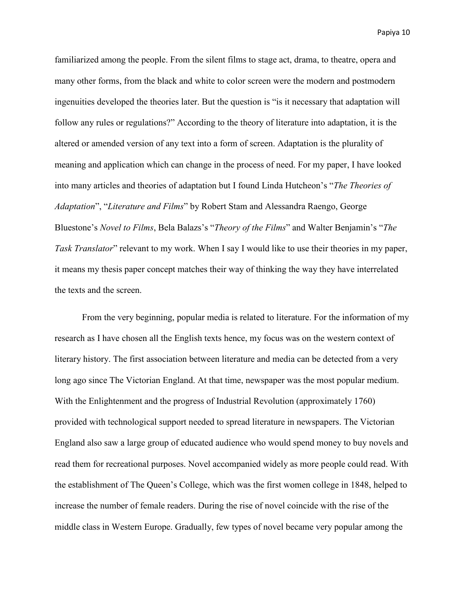familiarized among the people. From the silent films to stage act, drama, to theatre, opera and many other forms, from the black and white to color screen were the modern and postmodern ingenuities developed the theories later. But the question is "is it necessary that adaptation will follow any rules or regulations?" According to the theory of literature into adaptation, it is the altered or amended version of any text into a form of screen. Adaptation is the plurality of meaning and application which can change in the process of need. For my paper, I have looked into many articles and theories of adaptation but I found Linda Hutcheon's "*The Theories of Adaptation*", "*Literature and Films*" by Robert Stam and Alessandra Raengo, George Bluestone's *Novel to Films*, Bela Balazs's "*Theory of the Films*" and Walter Benjamin's "*The Task Translator*" relevant to my work. When I say I would like to use their theories in my paper, it means my thesis paper concept matches their way of thinking the way they have interrelated the texts and the screen.

From the very beginning, popular media is related to literature. For the information of my research as I have chosen all the English texts hence, my focus was on the western context of literary history. The first association between literature and media can be detected from a very long ago since The Victorian England. At that time, newspaper was the most popular medium. With the Enlightenment and the progress of Industrial Revolution (approximately 1760) provided with technological support needed to spread literature in newspapers. The Victorian England also saw a large group of educated audience who would spend money to buy novels and read them for recreational purposes. Novel accompanied widely as more people could read. With the establishment of The Queen's College, which was the first women college in 1848, helped to increase the number of female readers. During the rise of novel coincide with the rise of the middle class in Western Europe. Gradually, few types of novel became very popular among the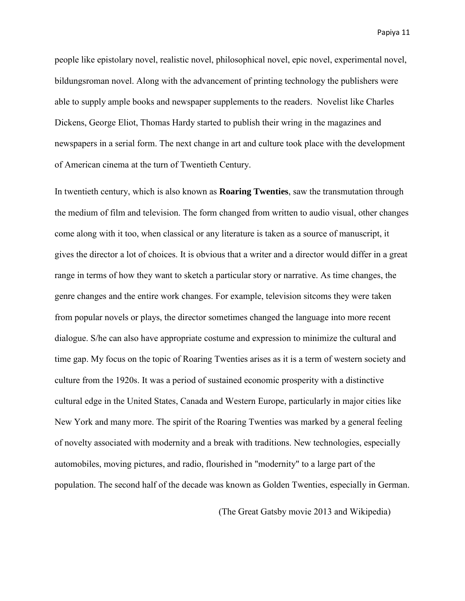people like epistolary novel, realistic novel, philosophical novel, epic novel, experimental novel, bildungsroman novel. Along with the advancement of printing technology the publishers were able to supply ample books and newspaper supplements to the readers. Novelist like Charles Dickens, George Eliot, Thomas Hardy started to publish their wring in the magazines and newspapers in a serial form. The next change in art and culture took place with the development of American cinema at the turn of Twentieth Century.

In twentieth century, which is also known as **Roaring Twenties**, saw the transmutation through the medium of film and television. The form changed from written to audio visual, other changes come along with it too, when classical or any literature is taken as a source of manuscript, it gives the director a lot of choices. It is obvious that a writer and a director would differ in a great range in terms of how they want to sketch a particular story or narrative. As time changes, the genre changes and the entire work changes. For example, television sitcoms they were taken from popular novels or plays, the director sometimes changed the language into more recent dialogue. S/he can also have appropriate costume and expression to minimize the cultural and time gap. My focus on the topic of Roaring Twenties arises as it is a term of western society and culture from the 1920s. It was a period of sustained economic prosperity with a distinctive cultural edge in the United States, Canada and Western Europe, particularly in major cities like New York and many more. The spirit of the Roaring Twenties was marked by a general feeling of novelty associated with modernity and a break with traditions. New technologies, especially automobiles, moving pictures, and radio, flourished in "modernity" to a large part of the population. The second half of the decade was known as Golden Twenties, especially in German.

(The Great Gatsby movie 2013 and Wikipedia)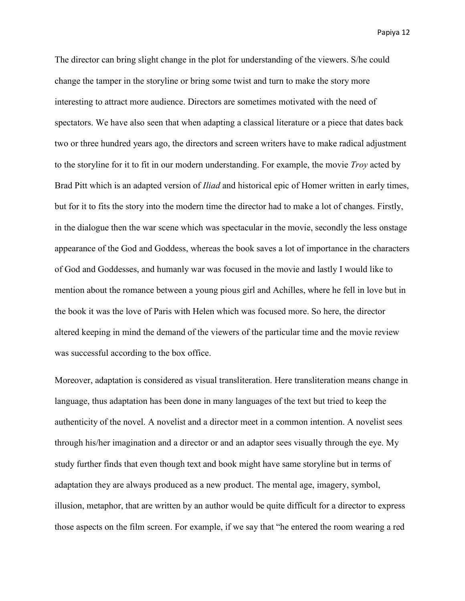The director can bring slight change in the plot for understanding of the viewers. S/he could change the tamper in the storyline or bring some twist and turn to make the story more interesting to attract more audience. Directors are sometimes motivated with the need of spectators. We have also seen that when adapting a classical literature or a piece that dates back two or three hundred years ago, the directors and screen writers have to make radical adjustment to the storyline for it to fit in our modern understanding. For example, the movie *Troy* acted by Brad Pitt which is an adapted version of *Iliad* and historical epic of Homer written in early times, but for it to fits the story into the modern time the director had to make a lot of changes. Firstly, in the dialogue then the war scene which was spectacular in the movie, secondly the less onstage appearance of the God and Goddess, whereas the book saves a lot of importance in the characters of God and Goddesses, and humanly war was focused in the movie and lastly I would like to mention about the romance between a young pious girl and Achilles, where he fell in love but in the book it was the love of Paris with Helen which was focused more. So here, the director altered keeping in mind the demand of the viewers of the particular time and the movie review was successful according to the box office.

Moreover, adaptation is considered as visual transliteration. Here transliteration means change in language, thus adaptation has been done in many languages of the text but tried to keep the authenticity of the novel. A novelist and a director meet in a common intention. A novelist sees through his/her imagination and a director or and an adaptor sees visually through the eye. My study further finds that even though text and book might have same storyline but in terms of adaptation they are always produced as a new product. The mental age, imagery, symbol, illusion, metaphor, that are written by an author would be quite difficult for a director to express those aspects on the film screen. For example, if we say that "he entered the room wearing a red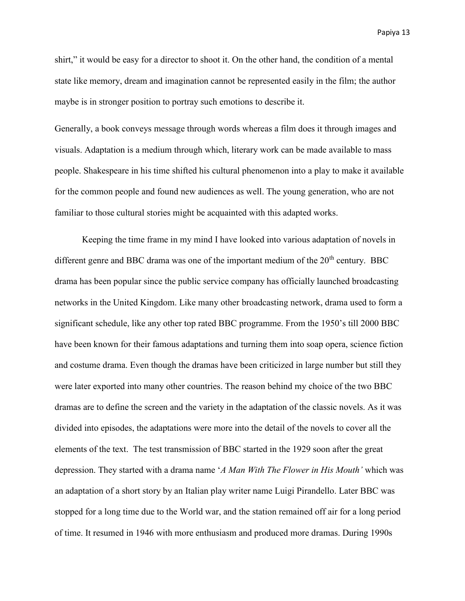shirt," it would be easy for a director to shoot it. On the other hand, the condition of a mental state like memory, dream and imagination cannot be represented easily in the film; the author maybe is in stronger position to portray such emotions to describe it.

Generally, a book conveys message through words whereas a film does it through images and visuals. Adaptation is a medium through which, literary work can be made available to mass people. Shakespeare in his time shifted his cultural phenomenon into a play to make it available for the common people and found new audiences as well. The young generation, who are not familiar to those cultural stories might be acquainted with this adapted works.

Keeping the time frame in my mind I have looked into various adaptation of novels in different genre and BBC drama was one of the important medium of the  $20<sup>th</sup>$  century. BBC drama has been popular since the public service company has officially launched broadcasting networks in the United Kingdom. Like many other broadcasting network, drama used to form a significant schedule, like any other top rated BBC programme. From the 1950's till 2000 BBC have been known for their famous adaptations and turning them into soap opera, science fiction and costume drama. Even though the dramas have been criticized in large number but still they were later exported into many other countries. The reason behind my choice of the two BBC dramas are to define the screen and the variety in the adaptation of the classic novels. As it was divided into episodes, the adaptations were more into the detail of the novels to cover all the elements of the text. The test transmission of BBC started in the 1929 soon after the great depression. They started with a drama name '*A Man With The Flower in His Mouth'* which was an adaptation of a short story by an Italian play writer name Luigi Pirandello. Later BBC was stopped for a long time due to the World war, and the station remained off air for a long period of time. It resumed in 1946 with more enthusiasm and produced more dramas. During 1990s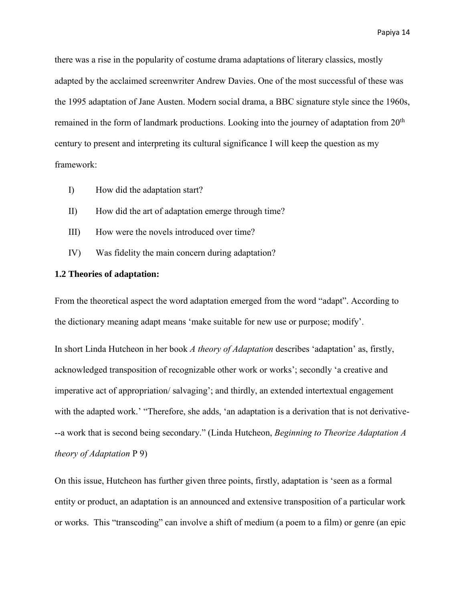there was a rise in the popularity of costume drama adaptations of literary classics, mostly adapted by the acclaimed screenwriter Andrew Davies. One of the most successful of these was the 1995 adaptation of Jane Austen. Modern social drama, a BBC signature style since the 1960s, remained in the form of landmark productions. Looking into the journey of adaptation from  $20<sup>th</sup>$ century to present and interpreting its cultural significance I will keep the question as my framework:

- I) How did the adaptation start?
- II) How did the art of adaptation emerge through time?
- III) How were the novels introduced over time?
- IV) Was fidelity the main concern during adaptation?

### **1.2 Theories of adaptation:**

From the theoretical aspect the word adaptation emerged from the word "adapt". According to the dictionary meaning adapt means 'make suitable for new use or purpose; modify'.

In short Linda Hutcheon in her book *A theory of Adaptation* describes 'adaptation' as, firstly, acknowledged transposition of recognizable other work or works'; secondly 'a creative and imperative act of appropriation/ salvaging'; and thirdly, an extended intertextual engagement with the adapted work.' "Therefore, she adds, 'an adaptation is a derivation that is not derivative---a work that is second being secondary." (Linda Hutcheon, *Beginning to Theorize Adaptation A theory of Adaptation* P 9)

On this issue, Hutcheon has further given three points, firstly, adaptation is 'seen as a formal entity or product, an adaptation is an announced and extensive transposition of a particular work or works. This "transcoding" can involve a shift of medium (a poem to a film) or genre (an epic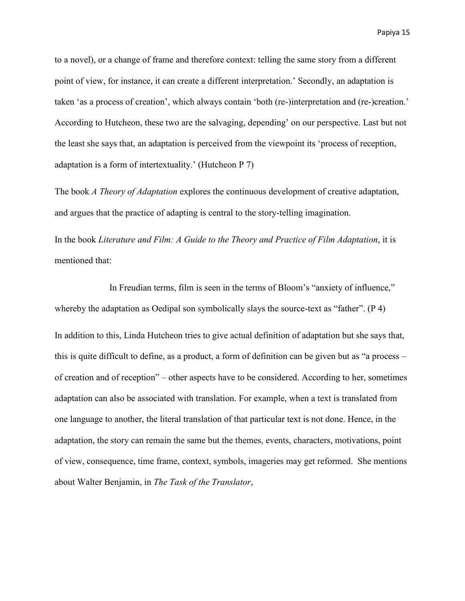to a novel), or a change of frame and therefore context: telling the same story from a different point of view, for instance, it can create a different interpretation.' Secondly, an adaptation is taken 'as a process of creation', which always contain 'both (re-)interpretation and (re-)creation.' According to Hutcheon, these two are the salvaging, depending' on our perspective. Last but not the least she says that, an adaptation is perceived from the viewpoint its 'process of reception, adaptation is a form of intertextuality.' (Hutcheon P 7)

The book *A Theory of Adaptation* explores the continuous development of creative adaptation, and argues that the practice of adapting is central to the story-telling imagination.

In the book *Literature and Film: A Guide to the Theory and Practice of Film Adaptation*, it is mentioned that:

 In Freudian terms, film is seen in the terms of Bloom's "anxiety of influence," whereby the adaptation as Oedipal son symbolically slays the source-text as "father". (P 4) In addition to this, Linda Hutcheon tries to give actual definition of adaptation but she says that, this is quite difficult to define, as a product, a form of definition can be given but as "a process – of creation and of reception" – other aspects have to be considered. According to her, sometimes adaptation can also be associated with translation. For example, when a text is translated from one language to another, the literal translation of that particular text is not done. Hence, in the adaptation, the story can remain the same but the themes, events, characters, motivations, point of view, consequence, time frame, context, symbols, imageries may get reformed. She mentions about Walter Benjamin, in *The Task of the Translator*,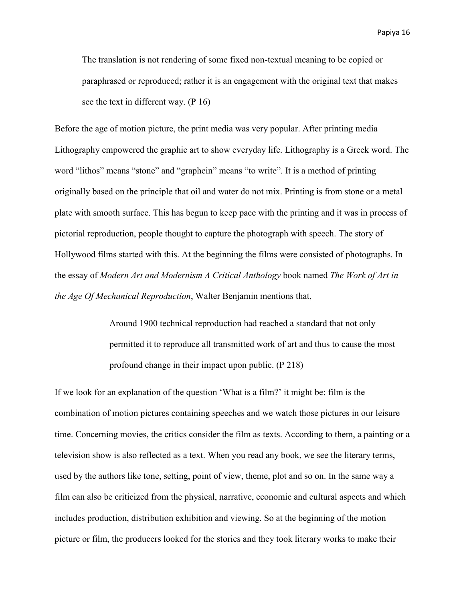The translation is not rendering of some fixed non-textual meaning to be copied or paraphrased or reproduced; rather it is an engagement with the original text that makes see the text in different way. (P 16)

Before the age of motion picture, the print media was very popular. After printing media Lithography empowered the graphic art to show everyday life. Lithography is a Greek word. The word "lithos" means "stone" and "graphein" means "to write". It is a method of printing originally based on the principle that oil and water do not mix. Printing is from stone or a metal plate with smooth surface. This has begun to keep pace with the printing and it was in process of pictorial reproduction, people thought to capture the photograph with speech. The story of Hollywood films started with this. At the beginning the films were consisted of photographs. In the essay of *Modern Art and Modernism A Critical Anthology* book named *The Work of Art in the Age Of Mechanical Reproduction*, Walter Benjamin mentions that,

> Around 1900 technical reproduction had reached a standard that not only permitted it to reproduce all transmitted work of art and thus to cause the most profound change in their impact upon public. (P 218)

If we look for an explanation of the question 'What is a film?' it might be: film is the combination of motion pictures containing speeches and we watch those pictures in our leisure time. Concerning movies, the critics consider the film as texts. According to them, a painting or a television show is also reflected as a text. When you read any book, we see the literary terms, used by the authors like tone, setting, point of view, theme, plot and so on. In the same way a film can also be criticized from the physical, narrative, economic and cultural aspects and which includes production, distribution exhibition and viewing. So at the beginning of the motion picture or film, the producers looked for the stories and they took literary works to make their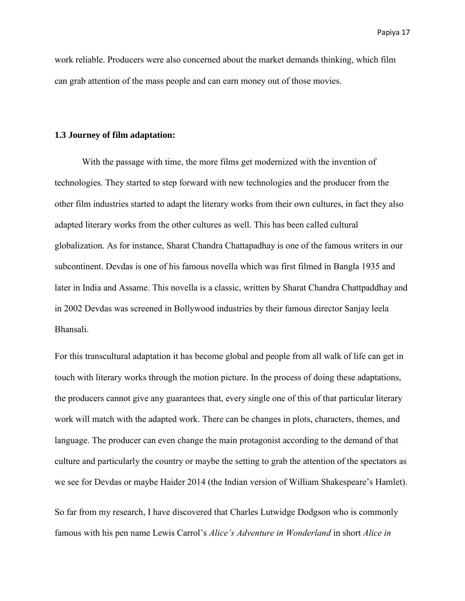work reliable. Producers were also concerned about the market demands thinking, which film can grab attention of the mass people and can earn money out of those movies.

#### **1.3 Journey of film adaptation:**

 With the passage with time, the more films get modernized with the invention of technologies. They started to step forward with new technologies and the producer from the other film industries started to adapt the literary works from their own cultures, in fact they also adapted literary works from the other cultures as well. This has been called cultural globalization. As for instance, Sharat Chandra Chattapadhay is one of the famous writers in our subcontinent. Devdas is one of his famous novella which was first filmed in Bangla 1935 and later in India and Assame. This novella is a classic, written by Sharat Chandra Chattpaddhay and in 2002 Devdas was screened in Bollywood industries by their famous director Sanjay leela Bhansali.

For this transcultural adaptation it has become global and people from all walk of life can get in touch with literary works through the motion picture. In the process of doing these adaptations, the producers cannot give any guarantees that, every single one of this of that particular literary work will match with the adapted work. There can be changes in plots, characters, themes, and language. The producer can even change the main protagonist according to the demand of that culture and particularly the country or maybe the setting to grab the attention of the spectators as we see for Devdas or maybe Haider 2014 (the Indian version of William Shakespeare's Hamlet).

So far from my research, I have discovered that Charles Lutwidge Dodgson who is commonly famous with his pen name Lewis Carrol's *Alice's Adventure in Wonderland* in short *Alice in*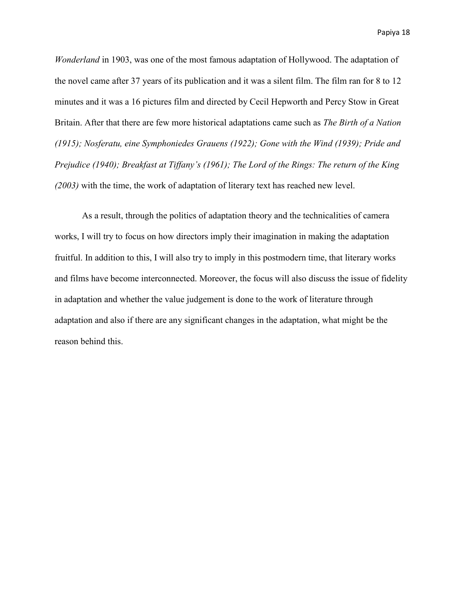*Wonderland* in 1903, was one of the most famous adaptation of Hollywood. The adaptation of the novel came after 37 years of its publication and it was a silent film. The film ran for 8 to 12 minutes and it was a 16 pictures film and directed by Cecil Hepworth and Percy Stow in Great Britain. After that there are few more historical adaptations came such as *The Birth of a Nation (1915); Nosferatu, eine Symphoniedes Grauens (1922); Gone with the Wind (1939); Pride and Prejudice (1940); Breakfast at Tiffany's (1961); The Lord of the Rings: The return of the King (2003)* with the time, the work of adaptation of literary text has reached new level.

 As a result, through the politics of adaptation theory and the technicalities of camera works, I will try to focus on how directors imply their imagination in making the adaptation fruitful. In addition to this, I will also try to imply in this postmodern time, that literary works and films have become interconnected. Moreover, the focus will also discuss the issue of fidelity in adaptation and whether the value judgement is done to the work of literature through adaptation and also if there are any significant changes in the adaptation, what might be the reason behind this.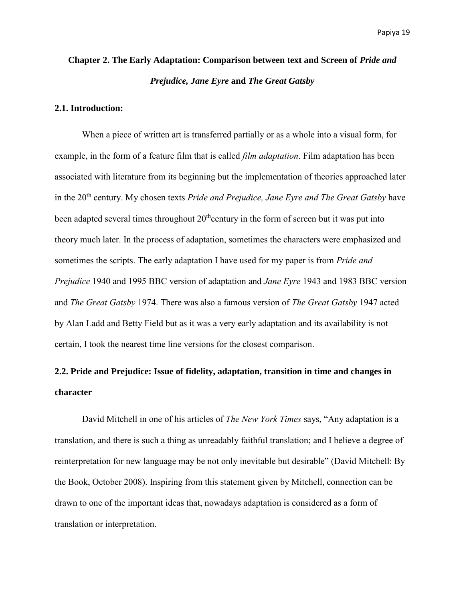# **Chapter 2. The Early Adaptation: Comparison between text and Screen of** *Pride and Prejudice, Jane Eyre* **and** *The Great Gatsby*

#### **2.1. Introduction:**

When a piece of written art is transferred partially or as a whole into a visual form, for example, in the form of a feature film that is called *film adaptation*. Film adaptation has been associated with literature from its beginning but the implementation of theories approached later in the 20<sup>th</sup> century. My chosen texts *Pride and Prejudice, Jane Eyre and The Great Gatsby* have been adapted several times throughout  $20<sup>th</sup>$ century in the form of screen but it was put into theory much later. In the process of adaptation, sometimes the characters were emphasized and sometimes the scripts. The early adaptation I have used for my paper is from *Pride and Prejudice* 1940 and 1995 BBC version of adaptation and *Jane Eyre* 1943 and 1983 BBC version and *The Great Gatsby* 1974. There was also a famous version of *The Great Gatsby* 1947 acted by Alan Ladd and Betty Field but as it was a very early adaptation and its availability is not certain, I took the nearest time line versions for the closest comparison.

# **2.2. Pride and Prejudice: Issue of fidelity, adaptation, transition in time and changes in character**

David Mitchell in one of his articles of *The New York Times* says, "Any adaptation is a translation, and there is such a thing as unreadably faithful translation; and I believe a degree of reinterpretation for new language may be not only inevitable but desirable" (David Mitchell: By the Book, October 2008). Inspiring from this statement given by Mitchell, connection can be drawn to one of the important ideas that, nowadays adaptation is considered as a form of translation or interpretation.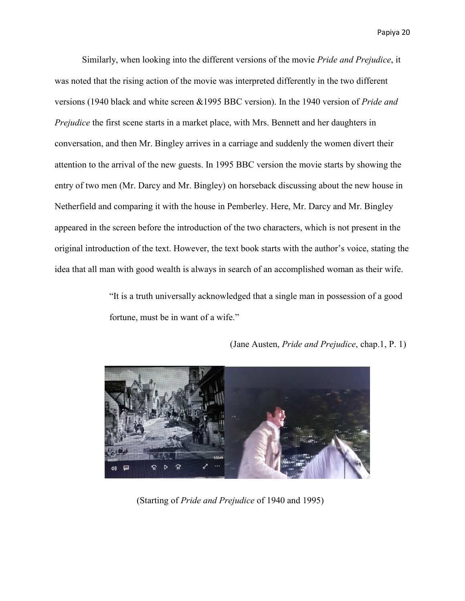Similarly, when looking into the different versions of the movie *Pride and Prejudice*, it was noted that the rising action of the movie was interpreted differently in the two different versions (1940 black and white screen &1995 BBC version). In the 1940 version of *Pride and Prejudice* the first scene starts in a market place, with Mrs. Bennett and her daughters in conversation, and then Mr. Bingley arrives in a carriage and suddenly the women divert their attention to the arrival of the new guests. In 1995 BBC version the movie starts by showing the entry of two men (Mr. Darcy and Mr. Bingley) on horseback discussing about the new house in Netherfield and comparing it with the house in Pemberley. Here, Mr. Darcy and Mr. Bingley appeared in the screen before the introduction of the two characters, which is not present in the original introduction of the text. However, the text book starts with the author's voice, stating the idea that all man with good wealth is always in search of an accomplished woman as their wife.

> "It is a truth universally acknowledged that a single man in possession of a good fortune, must be in want of a wife."



(Jane Austen, *Pride and Prejudice*, chap.1, P. 1)

(Starting of *Pride and Prejudice* of 1940 and 1995)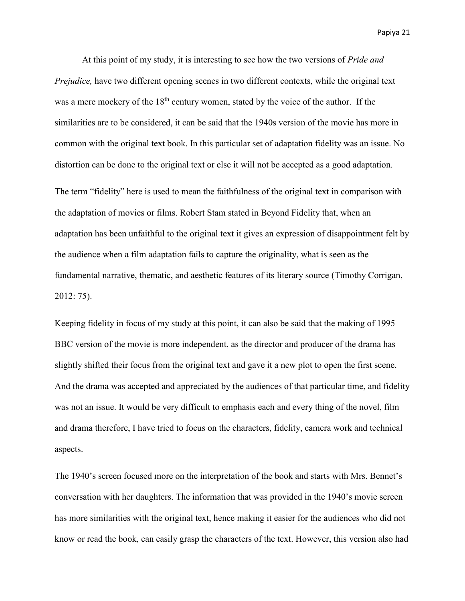At this point of my study, it is interesting to see how the two versions of *Pride and Prejudice*, have two different opening scenes in two different contexts, while the original text was a mere mockery of the  $18<sup>th</sup>$  century women, stated by the voice of the author. If the similarities are to be considered, it can be said that the 1940s version of the movie has more in common with the original text book. In this particular set of adaptation fidelity was an issue. No distortion can be done to the original text or else it will not be accepted as a good adaptation.

The term "fidelity" here is used to mean the faithfulness of the original text in comparison with the adaptation of movies or films. Robert Stam stated in Beyond Fidelity that, when an adaptation has been unfaithful to the original text it gives an expression of disappointment felt by the audience when a film adaptation fails to capture the originality, what is seen as the fundamental narrative, thematic, and aesthetic features of its literary source (Timothy Corrigan, 2012: 75).

Keeping fidelity in focus of my study at this point, it can also be said that the making of 1995 BBC version of the movie is more independent, as the director and producer of the drama has slightly shifted their focus from the original text and gave it a new plot to open the first scene. And the drama was accepted and appreciated by the audiences of that particular time, and fidelity was not an issue. It would be very difficult to emphasis each and every thing of the novel, film and drama therefore, I have tried to focus on the characters, fidelity, camera work and technical aspects.

The 1940's screen focused more on the interpretation of the book and starts with Mrs. Bennet's conversation with her daughters. The information that was provided in the 1940's movie screen has more similarities with the original text, hence making it easier for the audiences who did not know or read the book, can easily grasp the characters of the text. However, this version also had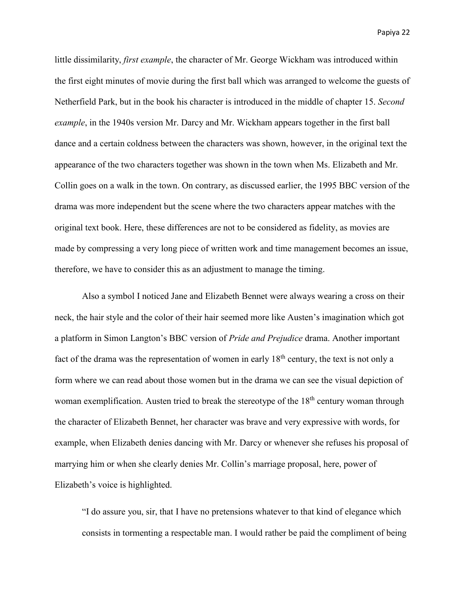little dissimilarity, *first example*, the character of Mr. George Wickham was introduced within the first eight minutes of movie during the first ball which was arranged to welcome the guests of Netherfield Park, but in the book his character is introduced in the middle of chapter 15. *Second example*, in the 1940s version Mr. Darcy and Mr. Wickham appears together in the first ball dance and a certain coldness between the characters was shown, however, in the original text the appearance of the two characters together was shown in the town when Ms. Elizabeth and Mr. Collin goes on a walk in the town. On contrary, as discussed earlier, the 1995 BBC version of the drama was more independent but the scene where the two characters appear matches with the original text book. Here, these differences are not to be considered as fidelity, as movies are made by compressing a very long piece of written work and time management becomes an issue, therefore, we have to consider this as an adjustment to manage the timing.

Also a symbol I noticed Jane and Elizabeth Bennet were always wearing a cross on their neck, the hair style and the color of their hair seemed more like Austen's imagination which got a platform in Simon Langton's BBC version of *Pride and Prejudice* drama. Another important fact of the drama was the representation of women in early  $18<sup>th</sup>$  century, the text is not only a form where we can read about those women but in the drama we can see the visual depiction of woman exemplification. Austen tried to break the stereotype of the  $18<sup>th</sup>$  century woman through the character of Elizabeth Bennet, her character was brave and very expressive with words, for example, when Elizabeth denies dancing with Mr. Darcy or whenever she refuses his proposal of marrying him or when she clearly denies Mr. Collin's marriage proposal, here, power of Elizabeth's voice is highlighted.

"I do assure you, sir, that I have no pretensions whatever to that kind of elegance which consists in tormenting a respectable man. I would rather be paid the compliment of being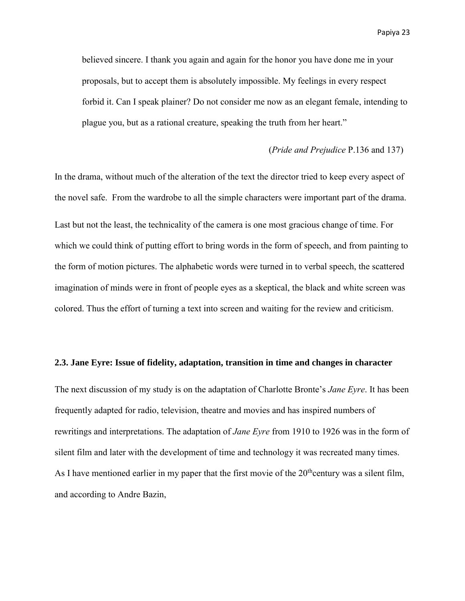believed sincere. I thank you again and again for the honor you have done me in your proposals, but to accept them is absolutely impossible. My feelings in every respect forbid it. Can I speak plainer? Do not consider me now as an elegant female, intending to plague you, but as a rational creature, speaking the truth from her heart."

#### (*Pride and Prejudice* P.136 and 137)

In the drama, without much of the alteration of the text the director tried to keep every aspect of the novel safe. From the wardrobe to all the simple characters were important part of the drama. Last but not the least, the technicality of the camera is one most gracious change of time. For which we could think of putting effort to bring words in the form of speech, and from painting to the form of motion pictures. The alphabetic words were turned in to verbal speech, the scattered imagination of minds were in front of people eyes as a skeptical, the black and white screen was colored. Thus the effort of turning a text into screen and waiting for the review and criticism.

#### **2.3. Jane Eyre: Issue of fidelity, adaptation, transition in time and changes in character**

The next discussion of my study is on the adaptation of Charlotte Bronte's *Jane Eyre*. It has been frequently adapted for radio, television, theatre and movies and has inspired numbers of rewritings and interpretations. The adaptation of *Jane Eyre* from 1910 to 1926 was in the form of silent film and later with the development of time and technology it was recreated many times. As I have mentioned earlier in my paper that the first movie of the  $20<sup>th</sup>$ century was a silent film, and according to Andre Bazin,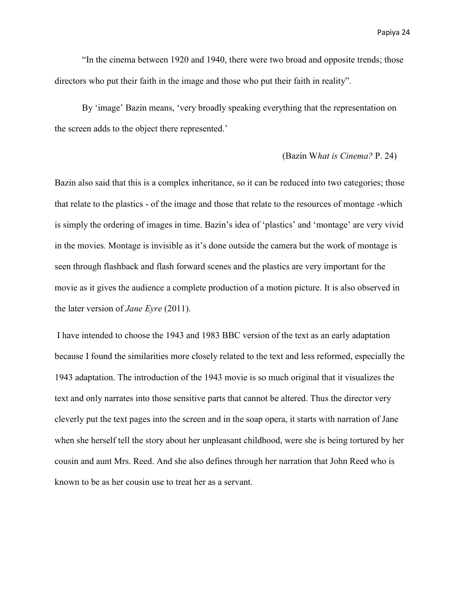"In the cinema between 1920 and 1940, there were two broad and opposite trends; those directors who put their faith in the image and those who put their faith in reality".

By 'image' Bazin means, 'very broadly speaking everything that the representation on the screen adds to the object there represented.'

#### (Bazin W*hat is Cinema?* P. 24)

Bazin also said that this is a complex inheritance, so it can be reduced into two categories; those that relate to the plastics - of the image and those that relate to the resources of montage -which is simply the ordering of images in time. Bazin's idea of 'plastics' and 'montage' are very vivid in the movies. Montage is invisible as it's done outside the camera but the work of montage is seen through flashback and flash forward scenes and the plastics are very important for the movie as it gives the audience a complete production of a motion picture. It is also observed in the later version of *Jane Eyre* (2011).

 I have intended to choose the 1943 and 1983 BBC version of the text as an early adaptation because I found the similarities more closely related to the text and less reformed, especially the 1943 adaptation. The introduction of the 1943 movie is so much original that it visualizes the text and only narrates into those sensitive parts that cannot be altered. Thus the director very cleverly put the text pages into the screen and in the soap opera, it starts with narration of Jane when she herself tell the story about her unpleasant childhood, were she is being tortured by her cousin and aunt Mrs. Reed. And she also defines through her narration that John Reed who is known to be as her cousin use to treat her as a servant.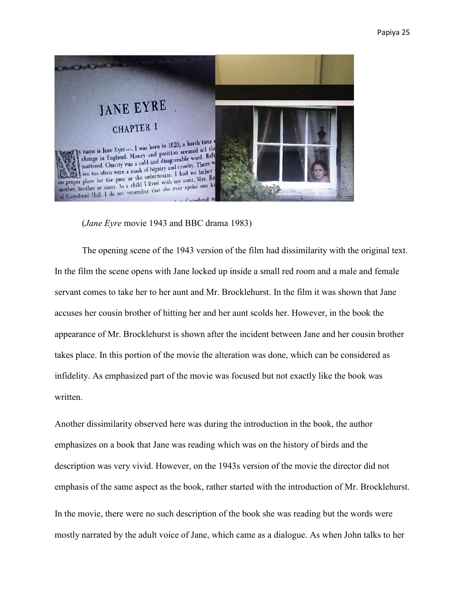

(*Jane Eyre* movie 1943 and BBC drama 1983)

The opening scene of the 1943 version of the film had dissimilarity with the original text. In the film the scene opens with Jane locked up inside a small red room and a male and female servant comes to take her to her aunt and Mr. Brocklehurst. In the film it was shown that Jane accuses her cousin brother of hitting her and her aunt scolds her. However, in the book the appearance of Mr. Brocklehurst is shown after the incident between Jane and her cousin brother takes place. In this portion of the movie the alteration was done, which can be considered as infidelity. As emphasized part of the movie was focused but not exactly like the book was written.

Another dissimilarity observed here was during the introduction in the book, the author emphasizes on a book that Jane was reading which was on the history of birds and the description was very vivid. However, on the 1943s version of the movie the director did not emphasis of the same aspect as the book, rather started with the introduction of Mr. Brocklehurst. In the movie, there were no such description of the book she was reading but the words were mostly narrated by the adult voice of Jane, which came as a dialogue. As when John talks to her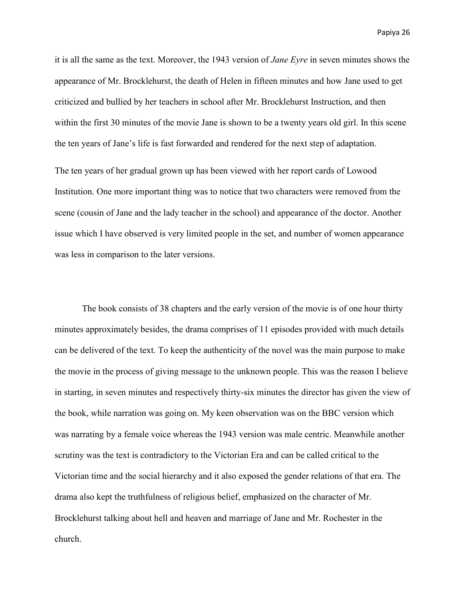it is all the same as the text. Moreover, the 1943 version of *Jane Eyre* in seven minutes shows the appearance of Mr. Brocklehurst, the death of Helen in fifteen minutes and how Jane used to get criticized and bullied by her teachers in school after Mr. Brocklehurst Instruction, and then within the first 30 minutes of the movie Jane is shown to be a twenty years old girl. In this scene the ten years of Jane's life is fast forwarded and rendered for the next step of adaptation.

The ten years of her gradual grown up has been viewed with her report cards of Lowood Institution. One more important thing was to notice that two characters were removed from the scene (cousin of Jane and the lady teacher in the school) and appearance of the doctor. Another issue which I have observed is very limited people in the set, and number of women appearance was less in comparison to the later versions.

The book consists of 38 chapters and the early version of the movie is of one hour thirty minutes approximately besides, the drama comprises of 11 episodes provided with much details can be delivered of the text. To keep the authenticity of the novel was the main purpose to make the movie in the process of giving message to the unknown people. This was the reason I believe in starting, in seven minutes and respectively thirty-six minutes the director has given the view of the book, while narration was going on. My keen observation was on the BBC version which was narrating by a female voice whereas the 1943 version was male centric. Meanwhile another scrutiny was the text is contradictory to the Victorian Era and can be called critical to the Victorian time and the social hierarchy and it also exposed the gender relations of that era. The drama also kept the truthfulness of religious belief, emphasized on the character of Mr. Brocklehurst talking about hell and heaven and marriage of Jane and Mr. Rochester in the church.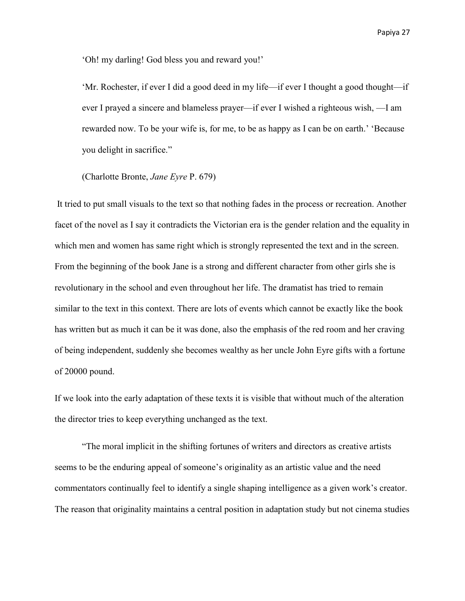'Oh! my darling! God bless you and reward you!'

'Mr. Rochester, if ever I did a good deed in my life—if ever I thought a good thought—if ever I prayed a sincere and blameless prayer—if ever I wished a righteous wish, —I am rewarded now. To be your wife is, for me, to be as happy as I can be on earth.' 'Because you delight in sacrifice."

(Charlotte Bronte, *Jane Eyre* P. 679)

 It tried to put small visuals to the text so that nothing fades in the process or recreation. Another facet of the novel as I say it contradicts the Victorian era is the gender relation and the equality in which men and women has same right which is strongly represented the text and in the screen. From the beginning of the book Jane is a strong and different character from other girls she is revolutionary in the school and even throughout her life. The dramatist has tried to remain similar to the text in this context. There are lots of events which cannot be exactly like the book has written but as much it can be it was done, also the emphasis of the red room and her craving of being independent, suddenly she becomes wealthy as her uncle John Eyre gifts with a fortune of 20000 pound.

If we look into the early adaptation of these texts it is visible that without much of the alteration the director tries to keep everything unchanged as the text.

"The moral implicit in the shifting fortunes of writers and directors as creative artists seems to be the enduring appeal of someone's originality as an artistic value and the need commentators continually feel to identify a single shaping intelligence as a given work's creator. The reason that originality maintains a central position in adaptation study but not cinema studies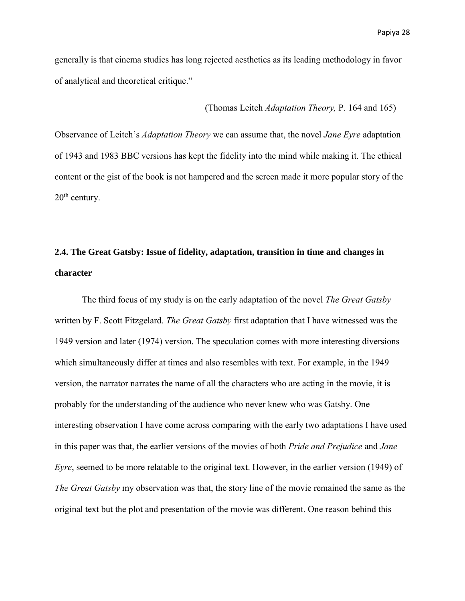generally is that cinema studies has long rejected aesthetics as its leading methodology in favor of analytical and theoretical critique."

#### (Thomas Leitch *Adaptation Theory,* P. 164 and 165)

Observance of Leitch's *Adaptation Theory* we can assume that, the novel *Jane Eyre* adaptation of 1943 and 1983 BBC versions has kept the fidelity into the mind while making it. The ethical content or the gist of the book is not hampered and the screen made it more popular story of the 20<sup>th</sup> century.

# **2.4. The Great Gatsby: Issue of fidelity, adaptation, transition in time and changes in character**

The third focus of my study is on the early adaptation of the novel *The Great Gatsby*  written by F. Scott Fitzgelard. *The Great Gatsby* first adaptation that I have witnessed was the 1949 version and later (1974) version. The speculation comes with more interesting diversions which simultaneously differ at times and also resembles with text. For example, in the 1949 version, the narrator narrates the name of all the characters who are acting in the movie, it is probably for the understanding of the audience who never knew who was Gatsby. One interesting observation I have come across comparing with the early two adaptations I have used in this paper was that, the earlier versions of the movies of both *Pride and Prejudice* and *Jane Eyre*, seemed to be more relatable to the original text. However, in the earlier version (1949) of *The Great Gatsby* my observation was that, the story line of the movie remained the same as the original text but the plot and presentation of the movie was different. One reason behind this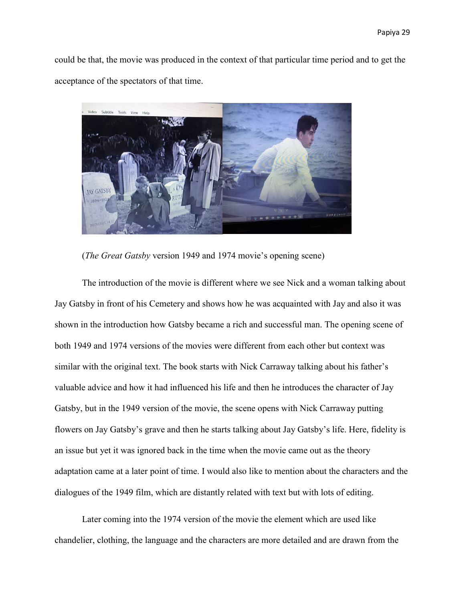could be that, the movie was produced in the context of that particular time period and to get the acceptance of the spectators of that time.



(*The Great Gatsby* version 1949 and 1974 movie's opening scene)

The introduction of the movie is different where we see Nick and a woman talking about Jay Gatsby in front of his Cemetery and shows how he was acquainted with Jay and also it was shown in the introduction how Gatsby became a rich and successful man. The opening scene of both 1949 and 1974 versions of the movies were different from each other but context was similar with the original text. The book starts with Nick Carraway talking about his father's valuable advice and how it had influenced his life and then he introduces the character of Jay Gatsby, but in the 1949 version of the movie, the scene opens with Nick Carraway putting flowers on Jay Gatsby's grave and then he starts talking about Jay Gatsby's life. Here, fidelity is an issue but yet it was ignored back in the time when the movie came out as the theory adaptation came at a later point of time. I would also like to mention about the characters and the dialogues of the 1949 film, which are distantly related with text but with lots of editing.

Later coming into the 1974 version of the movie the element which are used like chandelier, clothing, the language and the characters are more detailed and are drawn from the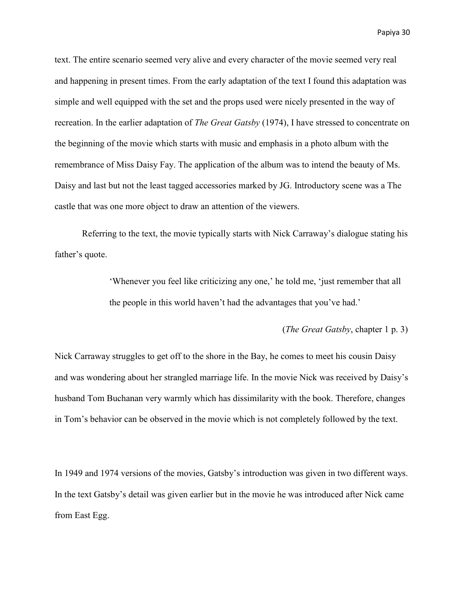text. The entire scenario seemed very alive and every character of the movie seemed very real and happening in present times. From the early adaptation of the text I found this adaptation was simple and well equipped with the set and the props used were nicely presented in the way of recreation. In the earlier adaptation of *The Great Gatsby* (1974), I have stressed to concentrate on the beginning of the movie which starts with music and emphasis in a photo album with the remembrance of Miss Daisy Fay. The application of the album was to intend the beauty of Ms. Daisy and last but not the least tagged accessories marked by JG. Introductory scene was a The castle that was one more object to draw an attention of the viewers.

Referring to the text, the movie typically starts with Nick Carraway's dialogue stating his father's quote.

> 'Whenever you feel like criticizing any one,' he told me, 'just remember that all the people in this world haven't had the advantages that you've had.'

> > (*The Great Gatsby*, chapter 1 p. 3)

Nick Carraway struggles to get off to the shore in the Bay, he comes to meet his cousin Daisy and was wondering about her strangled marriage life. In the movie Nick was received by Daisy's husband Tom Buchanan very warmly which has dissimilarity with the book. Therefore, changes in Tom's behavior can be observed in the movie which is not completely followed by the text.

In 1949 and 1974 versions of the movies, Gatsby's introduction was given in two different ways. In the text Gatsby's detail was given earlier but in the movie he was introduced after Nick came from East Egg.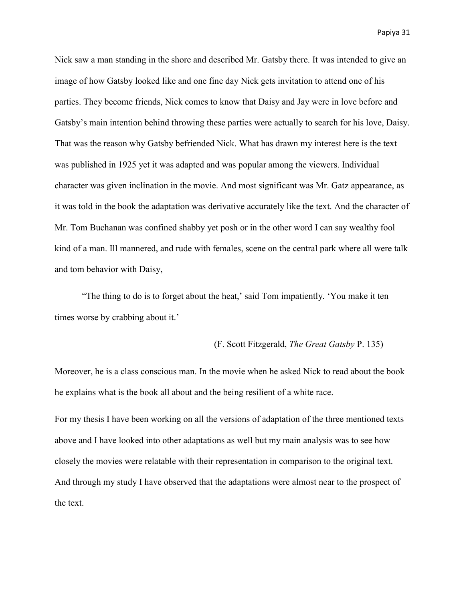Nick saw a man standing in the shore and described Mr. Gatsby there. It was intended to give an image of how Gatsby looked like and one fine day Nick gets invitation to attend one of his parties. They become friends, Nick comes to know that Daisy and Jay were in love before and Gatsby's main intention behind throwing these parties were actually to search for his love, Daisy. That was the reason why Gatsby befriended Nick. What has drawn my interest here is the text was published in 1925 yet it was adapted and was popular among the viewers. Individual character was given inclination in the movie. And most significant was Mr. Gatz appearance, as it was told in the book the adaptation was derivative accurately like the text. And the character of Mr. Tom Buchanan was confined shabby yet posh or in the other word I can say wealthy fool kind of a man. Ill mannered, and rude with females, scene on the central park where all were talk and tom behavior with Daisy,

"The thing to do is to forget about the heat,' said Tom impatiently. 'You make it ten times worse by crabbing about it.'

#### (F. Scott Fitzgerald, *The Great Gatsby* P. 135)

Moreover, he is a class conscious man. In the movie when he asked Nick to read about the book he explains what is the book all about and the being resilient of a white race.

For my thesis I have been working on all the versions of adaptation of the three mentioned texts above and I have looked into other adaptations as well but my main analysis was to see how closely the movies were relatable with their representation in comparison to the original text. And through my study I have observed that the adaptations were almost near to the prospect of the text.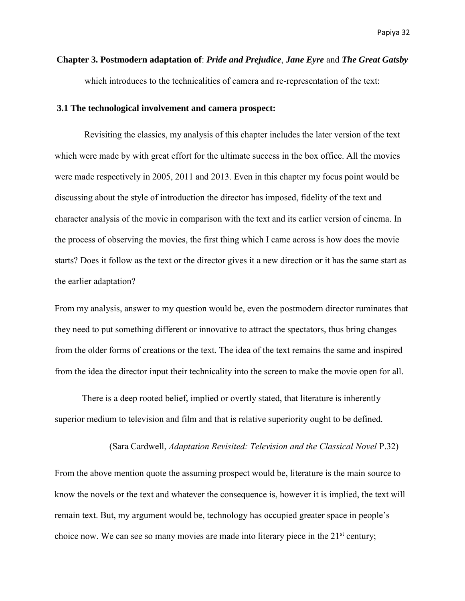# **Chapter 3. Postmodern adaptation of**: *Pride and Prejudice*, *Jane Eyre* and *The Great Gatsby* which introduces to the technicalities of camera and re-representation of the text:

#### **3.1 The technological involvement and camera prospect:**

Revisiting the classics, my analysis of this chapter includes the later version of the text which were made by with great effort for the ultimate success in the box office. All the movies were made respectively in 2005, 2011 and 2013. Even in this chapter my focus point would be discussing about the style of introduction the director has imposed, fidelity of the text and character analysis of the movie in comparison with the text and its earlier version of cinema. In the process of observing the movies, the first thing which I came across is how does the movie starts? Does it follow as the text or the director gives it a new direction or it has the same start as the earlier adaptation?

From my analysis, answer to my question would be, even the postmodern director ruminates that they need to put something different or innovative to attract the spectators, thus bring changes from the older forms of creations or the text. The idea of the text remains the same and inspired from the idea the director input their technicality into the screen to make the movie open for all.

 There is a deep rooted belief, implied or overtly stated, that literature is inherently superior medium to television and film and that is relative superiority ought to be defined.

#### (Sara Cardwell, *Adaptation Revisited: Television and the Classical Novel* P.32)

From the above mention quote the assuming prospect would be, literature is the main source to know the novels or the text and whatever the consequence is, however it is implied, the text will remain text. But, my argument would be, technology has occupied greater space in people's choice now. We can see so many movies are made into literary piece in the  $21<sup>st</sup>$  century;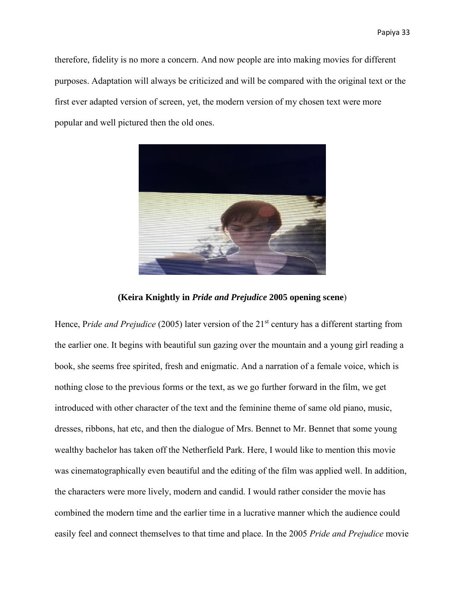therefore, fidelity is no more a concern. And now people are into making movies for different purposes. Adaptation will always be criticized and will be compared with the original text or the first ever adapted version of screen, yet, the modern version of my chosen text were more popular and well pictured then the old ones.



**(Keira Knightly in** *Pride and Prejudice* **2005 opening scene**)

Hence, Pride and Prejudice (2005) later version of the 21<sup>st</sup> century has a different starting from the earlier one. It begins with beautiful sun gazing over the mountain and a young girl reading a book, she seems free spirited, fresh and enigmatic. And a narration of a female voice, which is nothing close to the previous forms or the text, as we go further forward in the film, we get introduced with other character of the text and the feminine theme of same old piano, music, dresses, ribbons, hat etc, and then the dialogue of Mrs. Bennet to Mr. Bennet that some young wealthy bachelor has taken off the Netherfield Park. Here, I would like to mention this movie was cinematographically even beautiful and the editing of the film was applied well. In addition, the characters were more lively, modern and candid. I would rather consider the movie has combined the modern time and the earlier time in a lucrative manner which the audience could easily feel and connect themselves to that time and place. In the 2005 *Pride and Prejudice* movie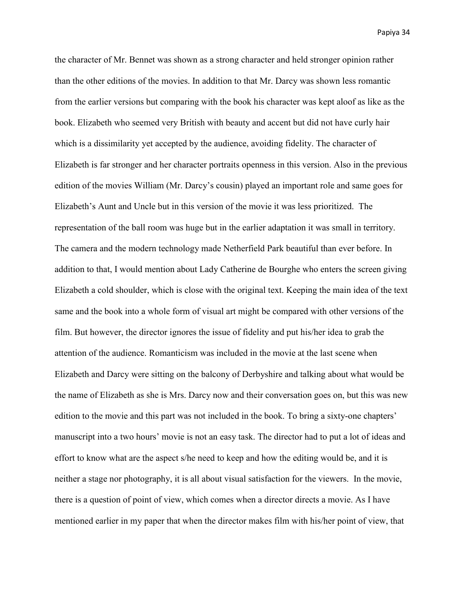the character of Mr. Bennet was shown as a strong character and held stronger opinion rather than the other editions of the movies. In addition to that Mr. Darcy was shown less romantic from the earlier versions but comparing with the book his character was kept aloof as like as the book. Elizabeth who seemed very British with beauty and accent but did not have curly hair which is a dissimilarity yet accepted by the audience, avoiding fidelity. The character of Elizabeth is far stronger and her character portraits openness in this version. Also in the previous edition of the movies William (Mr. Darcy's cousin) played an important role and same goes for Elizabeth's Aunt and Uncle but in this version of the movie it was less prioritized. The representation of the ball room was huge but in the earlier adaptation it was small in territory. The camera and the modern technology made Netherfield Park beautiful than ever before. In addition to that, I would mention about Lady Catherine de Bourghe who enters the screen giving Elizabeth a cold shoulder, which is close with the original text. Keeping the main idea of the text same and the book into a whole form of visual art might be compared with other versions of the film. But however, the director ignores the issue of fidelity and put his/her idea to grab the attention of the audience. Romanticism was included in the movie at the last scene when Elizabeth and Darcy were sitting on the balcony of Derbyshire and talking about what would be the name of Elizabeth as she is Mrs. Darcy now and their conversation goes on, but this was new edition to the movie and this part was not included in the book. To bring a sixty-one chapters' manuscript into a two hours' movie is not an easy task. The director had to put a lot of ideas and effort to know what are the aspect s/he need to keep and how the editing would be, and it is neither a stage nor photography, it is all about visual satisfaction for the viewers. In the movie, there is a question of point of view, which comes when a director directs a movie. As I have mentioned earlier in my paper that when the director makes film with his/her point of view, that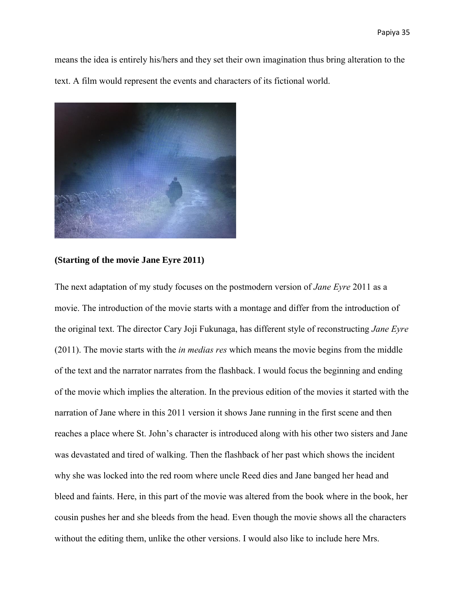means the idea is entirely his/hers and they set their own imagination thus bring alteration to the text. A film would represent the events and characters of its fictional world.



#### **(Starting of the movie Jane Eyre 2011)**

The next adaptation of my study focuses on the postmodern version of *Jane Eyre* 2011 as a movie. The introduction of the movie starts with a montage and differ from the introduction of the original text. The director Cary Joji Fukunaga, has different style of reconstructing *Jane Eyre* (2011). The movie starts with the *in medias res* which means the movie begins from the middle of the text and the narrator narrates from the flashback. I would focus the beginning and ending of the movie which implies the alteration. In the previous edition of the movies it started with the narration of Jane where in this 2011 version it shows Jane running in the first scene and then reaches a place where St. John's character is introduced along with his other two sisters and Jane was devastated and tired of walking. Then the flashback of her past which shows the incident why she was locked into the red room where uncle Reed dies and Jane banged her head and bleed and faints. Here, in this part of the movie was altered from the book where in the book, her cousin pushes her and she bleeds from the head. Even though the movie shows all the characters without the editing them, unlike the other versions. I would also like to include here Mrs.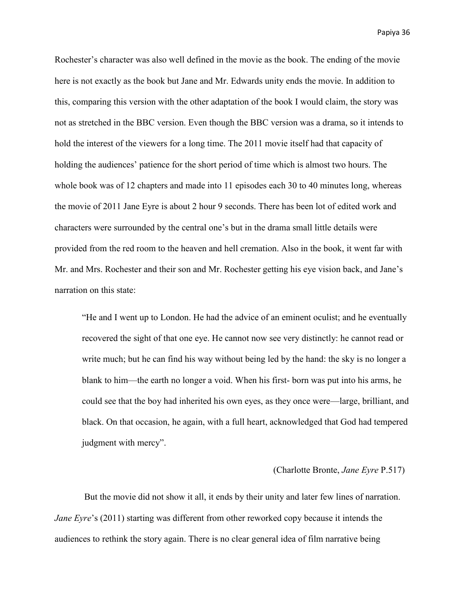Rochester's character was also well defined in the movie as the book. The ending of the movie here is not exactly as the book but Jane and Mr. Edwards unity ends the movie. In addition to this, comparing this version with the other adaptation of the book I would claim, the story was not as stretched in the BBC version. Even though the BBC version was a drama, so it intends to hold the interest of the viewers for a long time. The 2011 movie itself had that capacity of holding the audiences' patience for the short period of time which is almost two hours. The whole book was of 12 chapters and made into 11 episodes each 30 to 40 minutes long, whereas the movie of 2011 Jane Eyre is about 2 hour 9 seconds. There has been lot of edited work and characters were surrounded by the central one's but in the drama small little details were provided from the red room to the heaven and hell cremation. Also in the book, it went far with Mr. and Mrs. Rochester and their son and Mr. Rochester getting his eye vision back, and Jane's narration on this state:

"He and I went up to London. He had the advice of an eminent oculist; and he eventually recovered the sight of that one eye. He cannot now see very distinctly: he cannot read or write much; but he can find his way without being led by the hand: the sky is no longer a blank to him—the earth no longer a void. When his first- born was put into his arms, he could see that the boy had inherited his own eyes, as they once were—large, brilliant, and black. On that occasion, he again, with a full heart, acknowledged that God had tempered judgment with mercy".

#### (Charlotte Bronte, *Jane Eyre* P.517)

 But the movie did not show it all, it ends by their unity and later few lines of narration. *Jane Eyre*'s (2011) starting was different from other reworked copy because it intends the audiences to rethink the story again. There is no clear general idea of film narrative being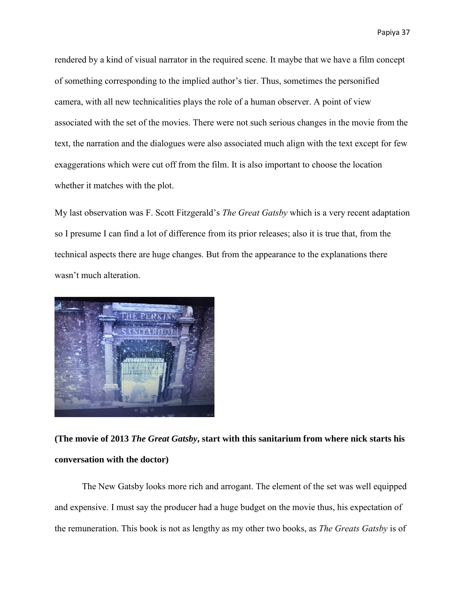rendered by a kind of visual narrator in the required scene. It maybe that we have a film concept of something corresponding to the implied author's tier. Thus, sometimes the personified camera, with all new technicalities plays the role of a human observer. A point of view associated with the set of the movies. There were not such serious changes in the movie from the text, the narration and the dialogues were also associated much align with the text except for few exaggerations which were cut off from the film. It is also important to choose the location whether it matches with the plot.

My last observation was F. Scott Fitzgerald's *The Great Gatsby* which is a very recent adaptation so I presume I can find a lot of difference from its prior releases; also it is true that, from the technical aspects there are huge changes. But from the appearance to the explanations there wasn't much alteration.



**(The movie of 2013** *The Great Gatsby***, start with this sanitarium from where nick starts his conversation with the doctor)** 

The New Gatsby looks more rich and arrogant. The element of the set was well equipped and expensive. I must say the producer had a huge budget on the movie thus, his expectation of the remuneration. This book is not as lengthy as my other two books, as *The Greats Gatsby* is of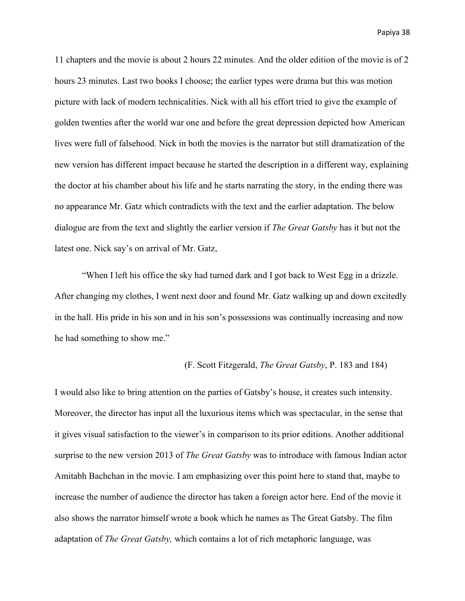11 chapters and the movie is about 2 hours 22 minutes. And the older edition of the movie is of 2 hours 23 minutes. Last two books I choose; the earlier types were drama but this was motion picture with lack of modern technicalities. Nick with all his effort tried to give the example of golden twenties after the world war one and before the great depression depicted how American lives were full of falsehood. Nick in both the movies is the narrator but still dramatization of the new version has different impact because he started the description in a different way, explaining the doctor at his chamber about his life and he starts narrating the story, in the ending there was no appearance Mr. Gatz which contradicts with the text and the earlier adaptation. The below dialogue are from the text and slightly the earlier version if *The Great Gatsby* has it but not the latest one. Nick say's on arrival of Mr. Gatz,

 "When I left his office the sky had turned dark and I got back to West Egg in a drizzle. After changing my clothes, I went next door and found Mr. Gatz walking up and down excitedly in the hall. His pride in his son and in his son's possessions was continually increasing and now he had something to show me."

#### (F. Scott Fitzgerald, *The Great Gatsby*, P. 183 and 184)

I would also like to bring attention on the parties of Gatsby's house, it creates such intensity. Moreover, the director has input all the luxurious items which was spectacular, in the sense that it gives visual satisfaction to the viewer's in comparison to its prior editions. Another additional surprise to the new version 2013 of *The Great Gatsby* was to introduce with famous Indian actor Amitabh Bachchan in the movie. I am emphasizing over this point here to stand that, maybe to increase the number of audience the director has taken a foreign actor here. End of the movie it also shows the narrator himself wrote a book which he names as The Great Gatsby. The film adaptation of *The Great Gatsby,* which contains a lot of rich metaphoric language, was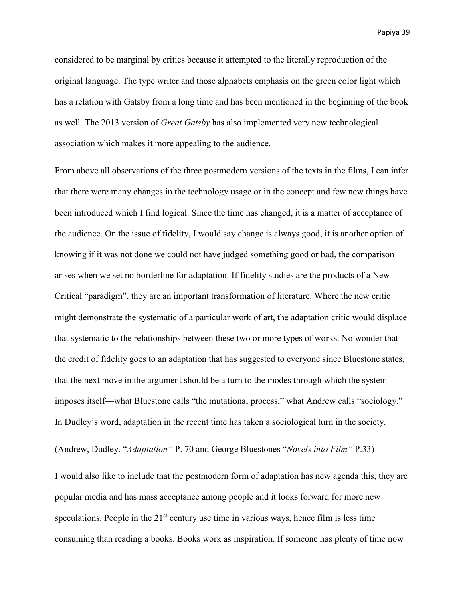considered to be marginal by critics because it attempted to the literally reproduction of the original language. The type writer and those alphabets emphasis on the green color light which has a relation with Gatsby from a long time and has been mentioned in the beginning of the book as well. The 2013 version of *Great Gatsby* has also implemented very new technological association which makes it more appealing to the audience.

From above all observations of the three postmodern versions of the texts in the films, I can infer that there were many changes in the technology usage or in the concept and few new things have been introduced which I find logical. Since the time has changed, it is a matter of acceptance of the audience. On the issue of fidelity, I would say change is always good, it is another option of knowing if it was not done we could not have judged something good or bad, the comparison arises when we set no borderline for adaptation. If fidelity studies are the products of a New Critical "paradigm", they are an important transformation of literature. Where the new critic might demonstrate the systematic of a particular work of art, the adaptation critic would displace that systematic to the relationships between these two or more types of works. No wonder that the credit of fidelity goes to an adaptation that has suggested to everyone since Bluestone states, that the next move in the argument should be a turn to the modes through which the system imposes itself—what Bluestone calls "the mutational process," what Andrew calls "sociology." In Dudley's word, adaptation in the recent time has taken a sociological turn in the society.

(Andrew, Dudley. "*Adaptation"* P. 70 and George Bluestones "*Novels into Film"* P.33)

I would also like to include that the postmodern form of adaptation has new agenda this, they are popular media and has mass acceptance among people and it looks forward for more new speculations. People in the  $21<sup>st</sup>$  century use time in various ways, hence film is less time consuming than reading a books. Books work as inspiration. If someone has plenty of time now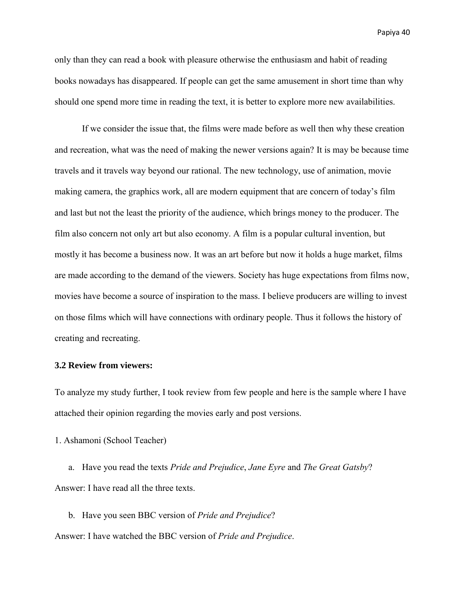only than they can read a book with pleasure otherwise the enthusiasm and habit of reading books nowadays has disappeared. If people can get the same amusement in short time than why should one spend more time in reading the text, it is better to explore more new availabilities.

If we consider the issue that, the films were made before as well then why these creation and recreation, what was the need of making the newer versions again? It is may be because time travels and it travels way beyond our rational. The new technology, use of animation, movie making camera, the graphics work, all are modern equipment that are concern of today's film and last but not the least the priority of the audience, which brings money to the producer. The film also concern not only art but also economy. A film is a popular cultural invention, but mostly it has become a business now. It was an art before but now it holds a huge market, films are made according to the demand of the viewers. Society has huge expectations from films now, movies have become a source of inspiration to the mass. I believe producers are willing to invest on those films which will have connections with ordinary people. Thus it follows the history of creating and recreating.

#### **3.2 Review from viewers:**

To analyze my study further, I took review from few people and here is the sample where I have attached their opinion regarding the movies early and post versions.

1. Ashamoni (School Teacher)

a. Have you read the texts *Pride and Prejudice*, *Jane Eyre* and *The Great Gatsby*? Answer: I have read all the three texts.

b. Have you seen BBC version of *Pride and Prejudice*? Answer: I have watched the BBC version of *Pride and Prejudice*.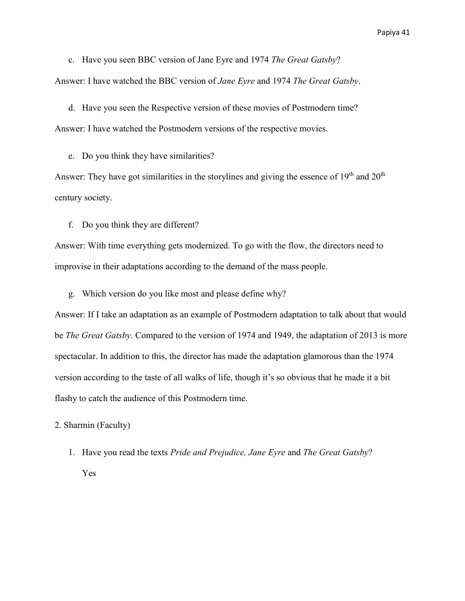c. Have you seen BBC version of Jane Eyre and 1974 *The Great Gatsby*? Answer: I have watched the BBC version of *Jane Eyre* and 1974 *The Great Gatsby*.

d. Have you seen the Respective version of these movies of Postmodern time? Answer: I have watched the Postmodern versions of the respective movies.

e. Do you think they have similarities?

Answer: They have got similarities in the storylines and giving the essence of  $19<sup>th</sup>$  and  $20<sup>th</sup>$ century society.

f. Do you think they are different?

Answer: With time everything gets modernized. To go with the flow, the directors need to improvise in their adaptations according to the demand of the mass people.

g. Which version do you like most and please define why?

Answer: If I take an adaptation as an example of Postmodern adaptation to talk about that would be *The Great Gatsby*. Compared to the version of 1974 and 1949, the adaptation of 2013 is more spectacular. In addition to this, the director has made the adaptation glamorous than the 1974 version according to the taste of all walks of life, though it's so obvious that he made it a bit flashy to catch the audience of this Postmodern time.

2. Sharmin (Faculty)

1. Have you read the texts *Pride and Prejudice, Jane Eyre* and *The Great Gatsby*? Yes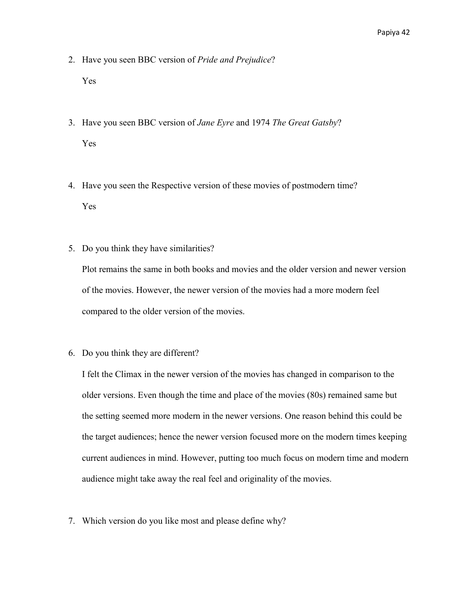- 2. Have you seen BBC version of *Pride and Prejudice*? Yes
- 3. Have you seen BBC version of *Jane Eyre* and 1974 *The Great Gatsby*? Yes
- 4. Have you seen the Respective version of these movies of postmodern time? Yes
- 5. Do you think they have similarities?

Plot remains the same in both books and movies and the older version and newer version of the movies. However, the newer version of the movies had a more modern feel compared to the older version of the movies.

6. Do you think they are different?

I felt the Climax in the newer version of the movies has changed in comparison to the older versions. Even though the time and place of the movies (80s) remained same but the setting seemed more modern in the newer versions. One reason behind this could be the target audiences; hence the newer version focused more on the modern times keeping current audiences in mind. However, putting too much focus on modern time and modern audience might take away the real feel and originality of the movies.

7. Which version do you like most and please define why?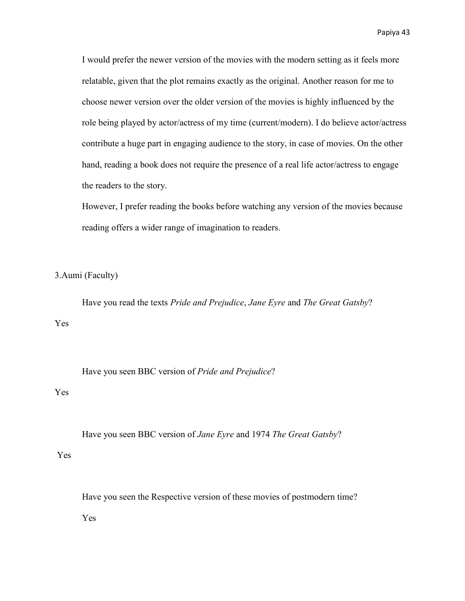I would prefer the newer version of the movies with the modern setting as it feels more relatable, given that the plot remains exactly as the original. Another reason for me to choose newer version over the older version of the movies is highly influenced by the role being played by actor/actress of my time (current/modern). I do believe actor/actress contribute a huge part in engaging audience to the story, in case of movies. On the other hand, reading a book does not require the presence of a real life actor/actress to engage the readers to the story.

However, I prefer reading the books before watching any version of the movies because reading offers a wider range of imagination to readers.

3.Aumi (Faculty)

Have you read the texts *Pride and Prejudice*, *Jane Eyre* and *The Great Gatsby*? Yes

Have you seen BBC version of *Pride and Prejudice*?

### Yes

Have you seen BBC version of *Jane Eyre* and 1974 *The Great Gatsby*?

Yes

Have you seen the Respective version of these movies of postmodern time? Yes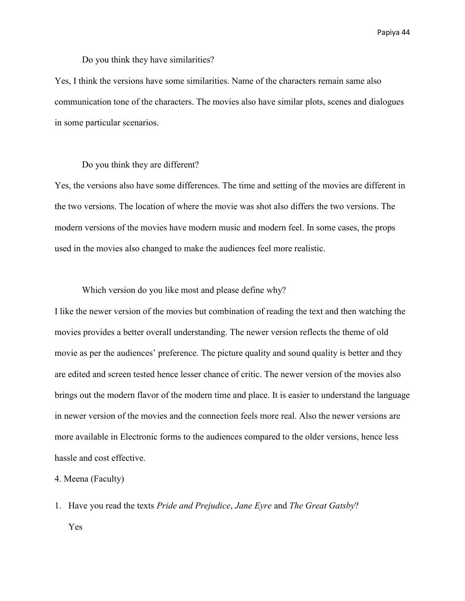Do you think they have similarities?

Yes, I think the versions have some similarities. Name of the characters remain same also communication tone of the characters. The movies also have similar plots, scenes and dialogues in some particular scenarios.

#### Do you think they are different?

Yes, the versions also have some differences. The time and setting of the movies are different in the two versions. The location of where the movie was shot also differs the two versions. The modern versions of the movies have modern music and modern feel. In some cases, the props used in the movies also changed to make the audiences feel more realistic.

#### Which version do you like most and please define why?

I like the newer version of the movies but combination of reading the text and then watching the movies provides a better overall understanding. The newer version reflects the theme of old movie as per the audiences' preference. The picture quality and sound quality is better and they are edited and screen tested hence lesser chance of critic. The newer version of the movies also brings out the modern flavor of the modern time and place. It is easier to understand the language in newer version of the movies and the connection feels more real. Also the newer versions are more available in Electronic forms to the audiences compared to the older versions, hence less hassle and cost effective.

#### 4. Meena (Faculty)

1. Have you read the texts *Pride and Prejudice*, *Jane Eyre* and *The Great Gatsby*? Yes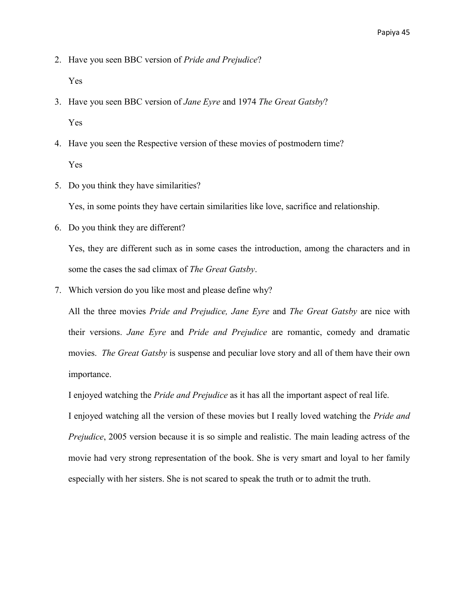2. Have you seen BBC version of *Pride and Prejudice*?

Yes

- 3. Have you seen BBC version of *Jane Eyre* and 1974 *The Great Gatsby*? Yes
- 4. Have you seen the Respective version of these movies of postmodern time? Yes
- 5. Do you think they have similarities?

Yes, in some points they have certain similarities like love, sacrifice and relationship.

6. Do you think they are different?

Yes, they are different such as in some cases the introduction, among the characters and in some the cases the sad climax of *The Great Gatsby*.

7. Which version do you like most and please define why?

All the three movies *Pride and Prejudice, Jane Eyre* and *The Great Gatsby* are nice with their versions. *Jane Eyre* and *Pride and Prejudice* are romantic, comedy and dramatic movies. *The Great Gatsby* is suspense and peculiar love story and all of them have their own importance.

I enjoyed watching the *Pride and Prejudice* as it has all the important aspect of real life.

I enjoyed watching all the version of these movies but I really loved watching the *Pride and Prejudice*, 2005 version because it is so simple and realistic. The main leading actress of the movie had very strong representation of the book. She is very smart and loyal to her family especially with her sisters. She is not scared to speak the truth or to admit the truth.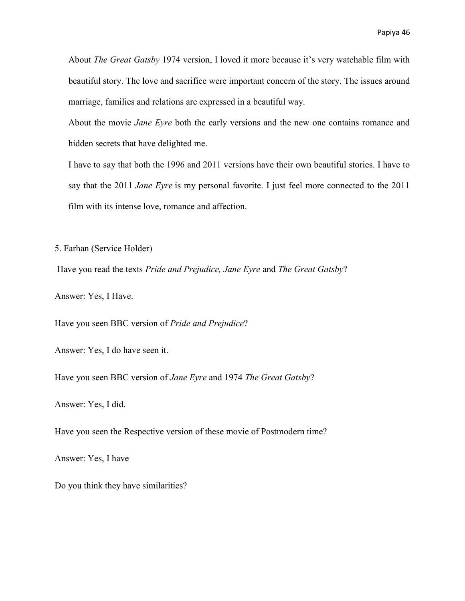About *The Great Gatsby* 1974 version, I loved it more because it's very watchable film with beautiful story. The love and sacrifice were important concern of the story. The issues around marriage, families and relations are expressed in a beautiful way.

About the movie *Jane Eyre* both the early versions and the new one contains romance and hidden secrets that have delighted me.

I have to say that both the 1996 and 2011 versions have their own beautiful stories. I have to say that the 2011 *Jane Eyre* is my personal favorite. I just feel more connected to the 2011 film with its intense love, romance and affection.

5. Farhan (Service Holder)

Have you read the texts *Pride and Prejudice, Jane Eyre* and *The Great Gatsby*?

Answer: Yes, I Have.

Have you seen BBC version of *Pride and Prejudice*?

Answer: Yes, I do have seen it.

Have you seen BBC version of *Jane Eyre* and 1974 *The Great Gatsby*?

Answer: Yes, I did.

Have you seen the Respective version of these movie of Postmodern time?

Answer: Yes, I have

Do you think they have similarities?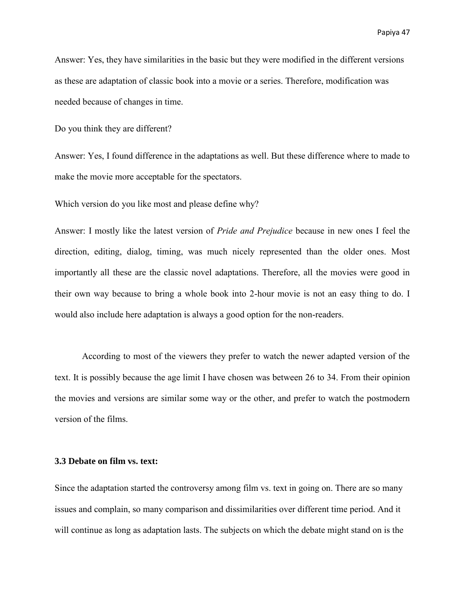Answer: Yes, they have similarities in the basic but they were modified in the different versions as these are adaptation of classic book into a movie or a series. Therefore, modification was needed because of changes in time.

Do you think they are different?

Answer: Yes, I found difference in the adaptations as well. But these difference where to made to make the movie more acceptable for the spectators.

Which version do you like most and please define why?

Answer: I mostly like the latest version of *Pride and Prejudice* because in new ones I feel the direction, editing, dialog, timing, was much nicely represented than the older ones. Most importantly all these are the classic novel adaptations. Therefore, all the movies were good in their own way because to bring a whole book into 2-hour movie is not an easy thing to do. I would also include here adaptation is always a good option for the non-readers.

According to most of the viewers they prefer to watch the newer adapted version of the text. It is possibly because the age limit I have chosen was between 26 to 34. From their opinion the movies and versions are similar some way or the other, and prefer to watch the postmodern version of the films.

#### **3.3 Debate on film vs. text:**

Since the adaptation started the controversy among film vs. text in going on. There are so many issues and complain, so many comparison and dissimilarities over different time period. And it will continue as long as adaptation lasts. The subjects on which the debate might stand on is the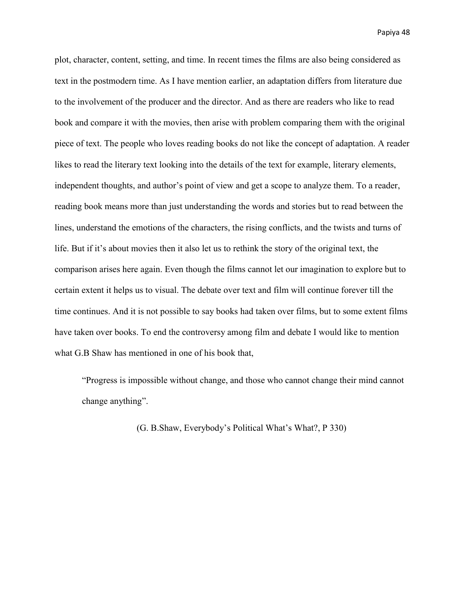plot, character, content, setting, and time. In recent times the films are also being considered as text in the postmodern time. As I have mention earlier, an adaptation differs from literature due to the involvement of the producer and the director. And as there are readers who like to read book and compare it with the movies, then arise with problem comparing them with the original piece of text. The people who loves reading books do not like the concept of adaptation. A reader likes to read the literary text looking into the details of the text for example, literary elements, independent thoughts, and author's point of view and get a scope to analyze them. To a reader, reading book means more than just understanding the words and stories but to read between the lines, understand the emotions of the characters, the rising conflicts, and the twists and turns of life. But if it's about movies then it also let us to rethink the story of the original text, the comparison arises here again. Even though the films cannot let our imagination to explore but to certain extent it helps us to visual. The debate over text and film will continue forever till the time continues. And it is not possible to say books had taken over films, but to some extent films have taken over books. To end the controversy among film and debate I would like to mention what G.B Shaw has mentioned in one of his book that,

"Progress is impossible without change, and those who cannot change their mind cannot change anything".

(G. B.Shaw, Everybody's Political What's What?, P 330)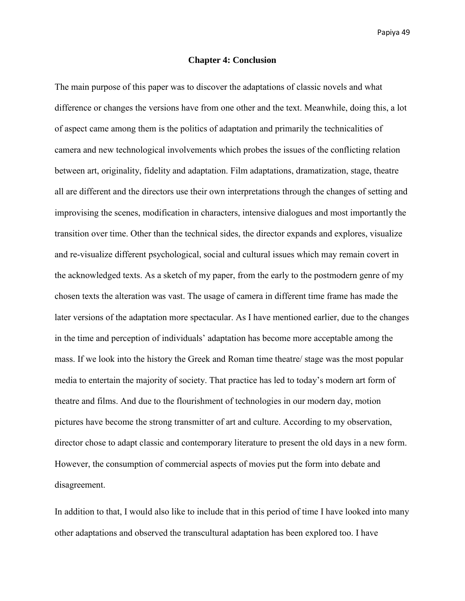#### **Chapter 4: Conclusion**

The main purpose of this paper was to discover the adaptations of classic novels and what difference or changes the versions have from one other and the text. Meanwhile, doing this, a lot of aspect came among them is the politics of adaptation and primarily the technicalities of camera and new technological involvements which probes the issues of the conflicting relation between art, originality, fidelity and adaptation. Film adaptations, dramatization, stage, theatre all are different and the directors use their own interpretations through the changes of setting and improvising the scenes, modification in characters, intensive dialogues and most importantly the transition over time. Other than the technical sides, the director expands and explores, visualize and re-visualize different psychological, social and cultural issues which may remain covert in the acknowledged texts. As a sketch of my paper, from the early to the postmodern genre of my chosen texts the alteration was vast. The usage of camera in different time frame has made the later versions of the adaptation more spectacular. As I have mentioned earlier, due to the changes in the time and perception of individuals' adaptation has become more acceptable among the mass. If we look into the history the Greek and Roman time theatre/ stage was the most popular media to entertain the majority of society. That practice has led to today's modern art form of theatre and films. And due to the flourishment of technologies in our modern day, motion pictures have become the strong transmitter of art and culture. According to my observation, director chose to adapt classic and contemporary literature to present the old days in a new form. However, the consumption of commercial aspects of movies put the form into debate and disagreement.

In addition to that, I would also like to include that in this period of time I have looked into many other adaptations and observed the transcultural adaptation has been explored too. I have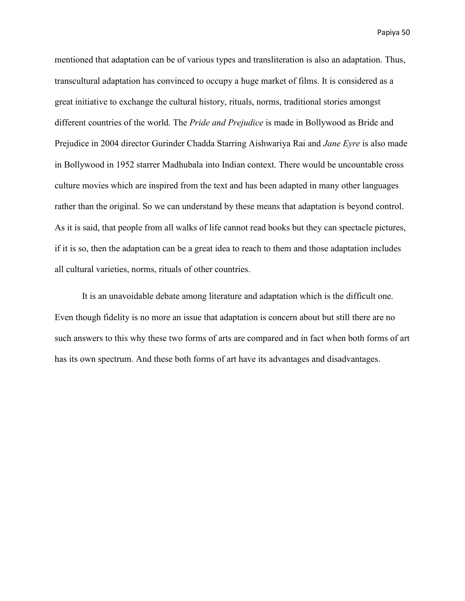mentioned that adaptation can be of various types and transliteration is also an adaptation. Thus, transcultural adaptation has convinced to occupy a huge market of films. It is considered as a great initiative to exchange the cultural history, rituals, norms, traditional stories amongst different countries of the world. The *Pride and Prejudice* is made in Bollywood as Bride and Prejudice in 2004 director Gurinder Chadda Starring Aishwariya Rai and *Jane Eyre* is also made in Bollywood in 1952 starrer Madhubala into Indian context. There would be uncountable cross culture movies which are inspired from the text and has been adapted in many other languages rather than the original. So we can understand by these means that adaptation is beyond control. As it is said, that people from all walks of life cannot read books but they can spectacle pictures, if it is so, then the adaptation can be a great idea to reach to them and those adaptation includes all cultural varieties, norms, rituals of other countries.

 It is an unavoidable debate among literature and adaptation which is the difficult one. Even though fidelity is no more an issue that adaptation is concern about but still there are no such answers to this why these two forms of arts are compared and in fact when both forms of art has its own spectrum. And these both forms of art have its advantages and disadvantages.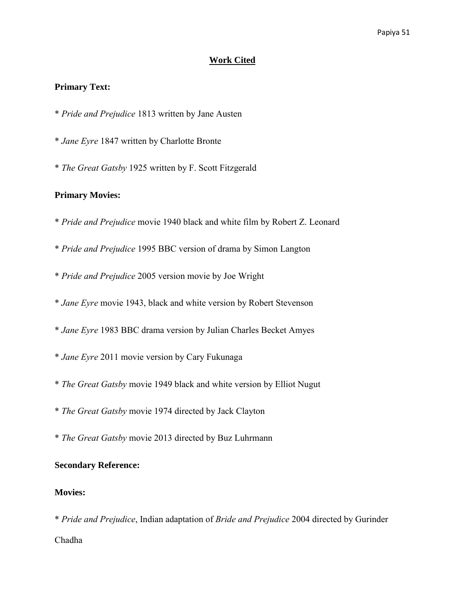#### **Work Cited**

#### **Primary Text:**

- \* *Pride and Prejudice* 1813 written by Jane Austen
- \* *Jane Eyre* 1847 written by Charlotte Bronte
- \* *The Great Gatsby* 1925 written by F. Scott Fitzgerald

### **Primary Movies:**

- \* *Pride and Prejudice* movie 1940 black and white film by Robert Z. Leonard
- \* *Pride and Prejudice* 1995 BBC version of drama by Simon Langton
- \* *Pride and Prejudice* 2005 version movie by Joe Wright
- \* *Jane Eyre* movie 1943, black and white version by Robert Stevenson
- \* *Jane Eyre* 1983 BBC drama version by Julian Charles Becket Amyes
- \* *Jane Eyre* 2011 movie version by Cary Fukunaga
- \* *The Great Gatsby* movie 1949 black and white version by Elliot Nugut
- \* *The Great Gatsby* movie 1974 directed by Jack Clayton
- \* *The Great Gatsby* movie 2013 directed by Buz Luhrmann

### **Secondary Reference:**

#### **Movies:**

\* *Pride and Prejudice*, Indian adaptation of *Bride and Prejudice* 2004 directed by Gurinder Chadha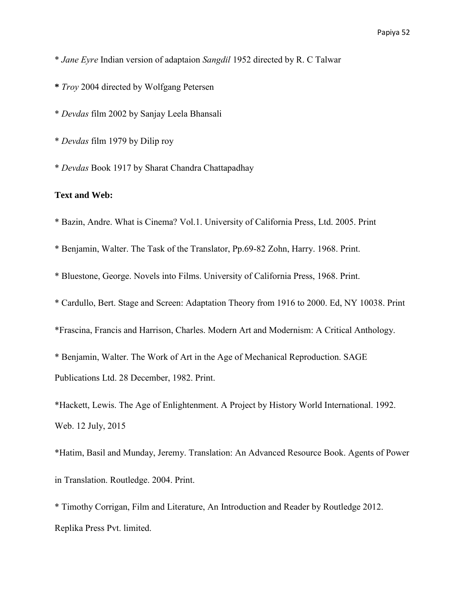- \* *Jane Eyre* Indian version of adaptaion *Sangdil* 1952 directed by R. C Talwar
- **\*** *Troy* 2004 directed by Wolfgang Petersen
- \* *Devdas* film 2002 by Sanjay Leela Bhansali
- \* *Devdas* film 1979 by Dilip roy
- \* *Devdas* Book 1917 by Sharat Chandra Chattapadhay

### **Text and Web:**

- \* Bazin, Andre. What is Cinema? Vol.1. University of California Press, Ltd. 2005. Print
- \* Benjamin, Walter. The Task of the Translator, Pp.69-82 Zohn, Harry. 1968. Print.
- \* Bluestone, George. Novels into Films. University of California Press, 1968. Print.
- \* Cardullo, Bert. Stage and Screen: Adaptation Theory from 1916 to 2000. Ed, NY 10038. Print
- \*Frascina, Francis and Harrison, Charles. Modern Art and Modernism: A Critical Anthology.
- \* Benjamin, Walter. The Work of Art in the Age of Mechanical Reproduction. SAGE Publications Ltd. 28 December, 1982. Print.
- \*Hackett, Lewis. The Age of Enlightenment. A Project by History World International. 1992. Web. 12 July, 2015
- \*Hatim, Basil and Munday, Jeremy. Translation: An Advanced Resource Book. Agents of Power in Translation. Routledge. 2004. Print.
- \* Timothy Corrigan, Film and Literature, An Introduction and Reader by Routledge 2012. Replika Press Pvt. limited.